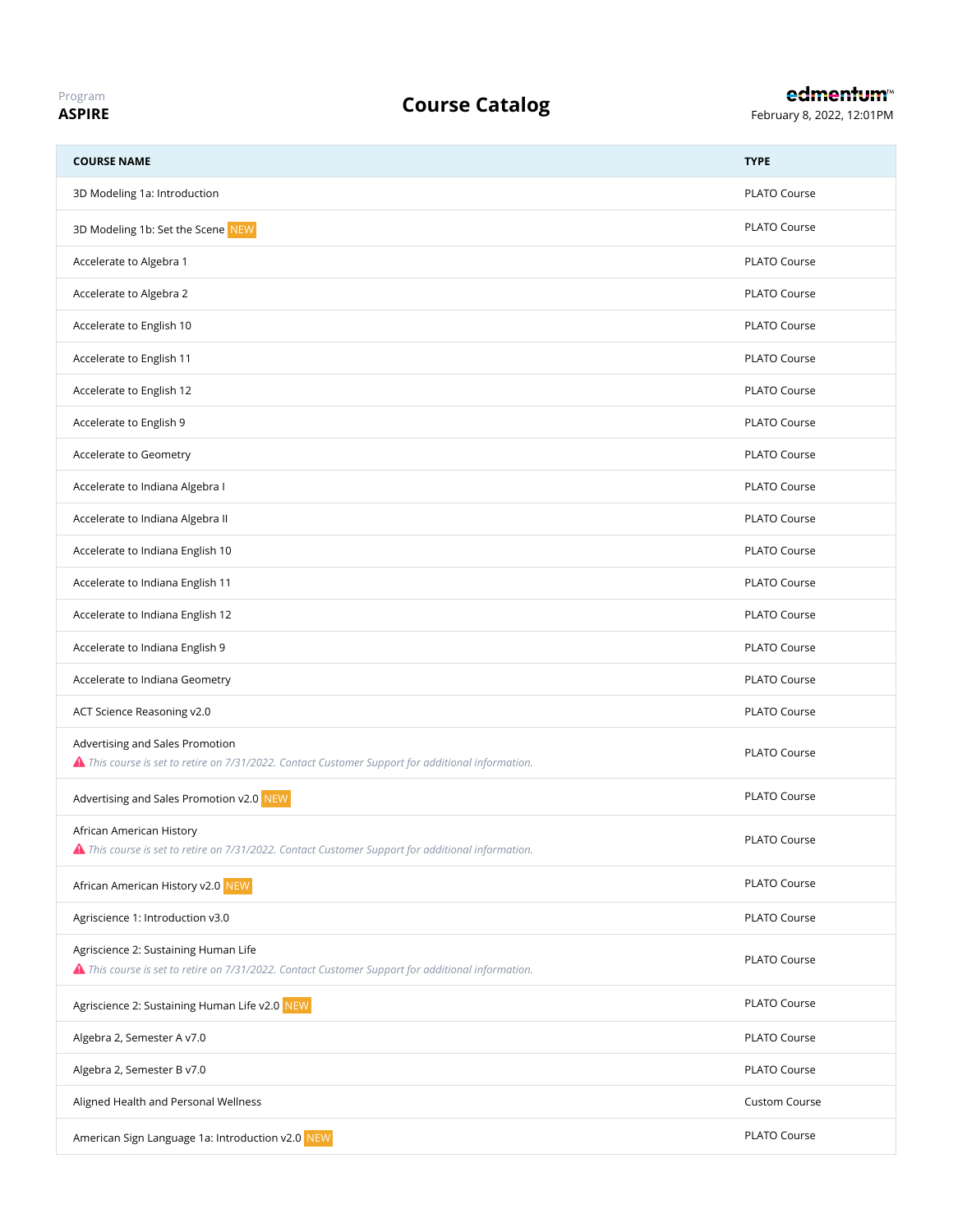## Program<br>**ASPIRE**

| <b>COURSE NAME</b>                                                                                                                        | <b>TYPE</b>          |
|-------------------------------------------------------------------------------------------------------------------------------------------|----------------------|
| 3D Modeling 1a: Introduction                                                                                                              | PLATO Course         |
| 3D Modeling 1b: Set the Scene NEW                                                                                                         | PLATO Course         |
| Accelerate to Algebra 1                                                                                                                   | PLATO Course         |
| Accelerate to Algebra 2                                                                                                                   | PLATO Course         |
| Accelerate to English 10                                                                                                                  | PLATO Course         |
| Accelerate to English 11                                                                                                                  | PLATO Course         |
| Accelerate to English 12                                                                                                                  | PLATO Course         |
| Accelerate to English 9                                                                                                                   | PLATO Course         |
| Accelerate to Geometry                                                                                                                    | PLATO Course         |
| Accelerate to Indiana Algebra I                                                                                                           | PLATO Course         |
| Accelerate to Indiana Algebra II                                                                                                          | PLATO Course         |
| Accelerate to Indiana English 10                                                                                                          | PLATO Course         |
| Accelerate to Indiana English 11                                                                                                          | PLATO Course         |
| Accelerate to Indiana English 12                                                                                                          | PLATO Course         |
| Accelerate to Indiana English 9                                                                                                           | PLATO Course         |
| Accelerate to Indiana Geometry                                                                                                            | PLATO Course         |
| ACT Science Reasoning v2.0                                                                                                                | PLATO Course         |
| Advertising and Sales Promotion<br>▲ This course is set to retire on 7/31/2022. Contact Customer Support for additional information.      | <b>PLATO Course</b>  |
| Advertising and Sales Promotion v2.0 NEW                                                                                                  | PLATO Course         |
| African American History<br>▲ This course is set to retire on 7/31/2022. Contact Customer Support for additional information.             | PLATO Course         |
| African American History v2.0 NEW                                                                                                         | PLATO Course         |
| Agriscience 1: Introduction v3.0                                                                                                          | PLATO Course         |
| Agriscience 2: Sustaining Human Life<br>▲ This course is set to retire on 7/31/2022. Contact Customer Support for additional information. | PLATO Course         |
| Agriscience 2: Sustaining Human Life v2.0 NEW                                                                                             | PLATO Course         |
| Algebra 2, Semester A v7.0                                                                                                                | PLATO Course         |
| Algebra 2, Semester B v7.0                                                                                                                | PLATO Course         |
| Aligned Health and Personal Wellness                                                                                                      | <b>Custom Course</b> |
| American Sign Language 1a: Introduction v2.0 NEW                                                                                          | PLATO Course         |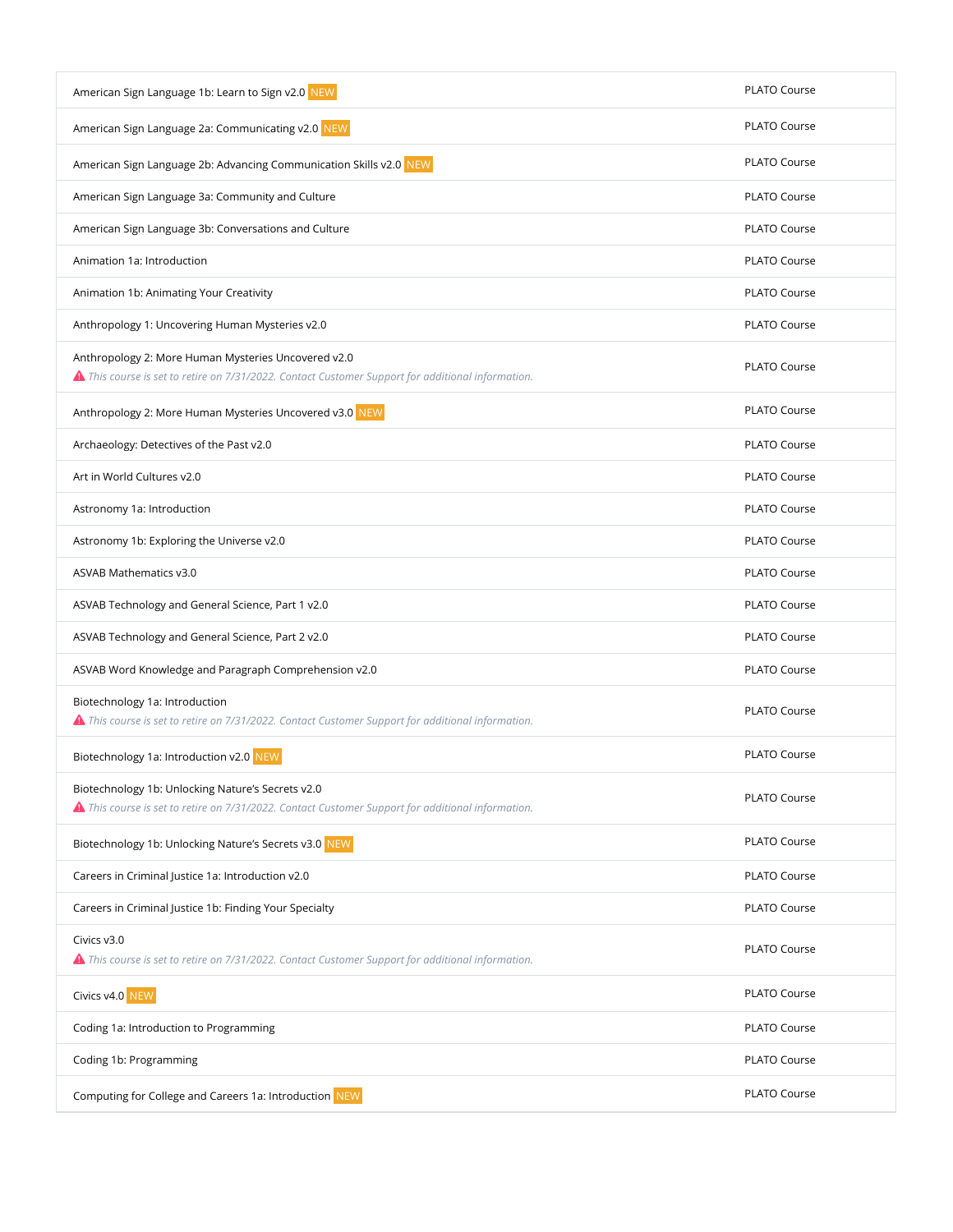| American Sign Language 1b: Learn to Sign v2.0 NEW                                                                                                        | PLATO Course |
|----------------------------------------------------------------------------------------------------------------------------------------------------------|--------------|
| American Sign Language 2a: Communicating v2.0 NEW                                                                                                        | PLATO Course |
| American Sign Language 2b: Advancing Communication Skills v2.0 NEW                                                                                       | PLATO Course |
| American Sign Language 3a: Community and Culture                                                                                                         | PLATO Course |
| American Sign Language 3b: Conversations and Culture                                                                                                     | PLATO Course |
| Animation 1a: Introduction                                                                                                                               | PLATO Course |
| Animation 1b: Animating Your Creativity                                                                                                                  | PLATO Course |
| Anthropology 1: Uncovering Human Mysteries v2.0                                                                                                          | PLATO Course |
| Anthropology 2: More Human Mysteries Uncovered v2.0<br>▲ This course is set to retire on 7/31/2022. Contact Customer Support for additional information. | PLATO Course |
| Anthropology 2: More Human Mysteries Uncovered v3.0 NEW                                                                                                  | PLATO Course |
| Archaeology: Detectives of the Past v2.0                                                                                                                 | PLATO Course |
| Art in World Cultures v2.0                                                                                                                               | PLATO Course |
| Astronomy 1a: Introduction                                                                                                                               | PLATO Course |
| Astronomy 1b: Exploring the Universe v2.0                                                                                                                | PLATO Course |
| ASVAB Mathematics v3.0                                                                                                                                   | PLATO Course |
| ASVAB Technology and General Science, Part 1 v2.0                                                                                                        | PLATO Course |
| ASVAB Technology and General Science, Part 2 v2.0                                                                                                        | PLATO Course |
| ASVAB Word Knowledge and Paragraph Comprehension v2.0                                                                                                    | PLATO Course |
| Biotechnology 1a: Introduction<br>▲ This course is set to retire on 7/31/2022. Contact Customer Support for additional information.                      | PLATO Course |
| Biotechnology 1a: Introduction v2.0 NEW                                                                                                                  | PLATO Course |
| Biotechnology 1b: Unlocking Nature's Secrets v2.0<br>▲ This course is set to retire on 7/31/2022. Contact Customer Support for additional information.   | PLATO Course |
| Biotechnology 1b: Unlocking Nature's Secrets v3.0 NEW                                                                                                    | PLATO Course |
| Careers in Criminal Justice 1a: Introduction v2.0                                                                                                        | PLATO Course |
| Careers in Criminal Justice 1b: Finding Your Specialty                                                                                                   | PLATO Course |
| Civics v3.0<br>▲ This course is set to retire on 7/31/2022. Contact Customer Support for additional information.                                         | PLATO Course |
| Civics v4.0 NEW                                                                                                                                          | PLATO Course |
| Coding 1a: Introduction to Programming                                                                                                                   | PLATO Course |
| Coding 1b: Programming                                                                                                                                   | PLATO Course |
| Computing for College and Careers 1a: Introduction NEW                                                                                                   | PLATO Course |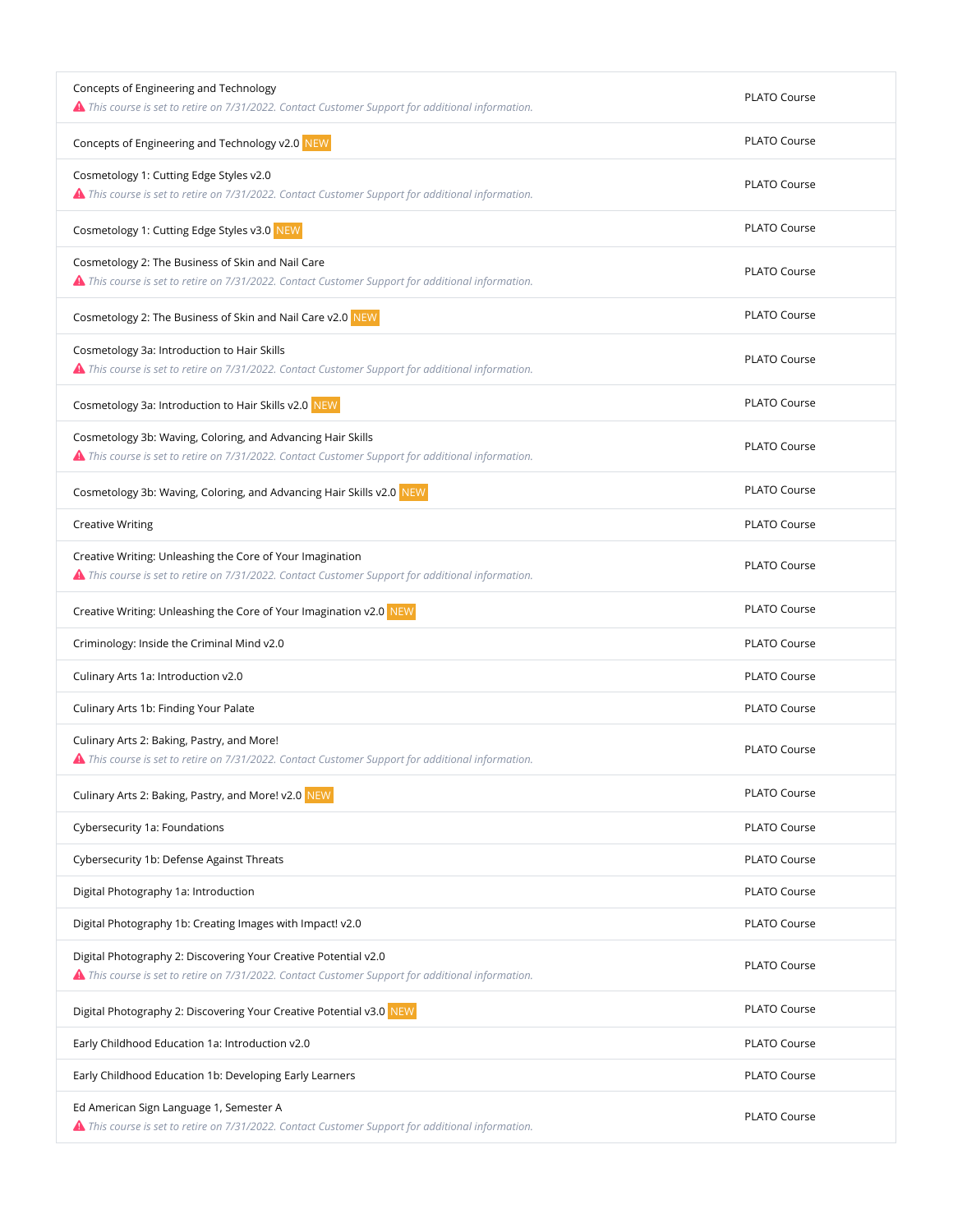| Concepts of Engineering and Technology<br>▲ This course is set to retire on 7/31/2022. Contact Customer Support for additional information.                          | PLATO Course        |
|----------------------------------------------------------------------------------------------------------------------------------------------------------------------|---------------------|
| Concepts of Engineering and Technology v2.0 NEW                                                                                                                      | <b>PLATO Course</b> |
| Cosmetology 1: Cutting Edge Styles v2.0<br>A This course is set to retire on 7/31/2022. Contact Customer Support for additional information.                         | <b>PLATO Course</b> |
| Cosmetology 1: Cutting Edge Styles v3.0 NEW                                                                                                                          | <b>PLATO Course</b> |
| Cosmetology 2: The Business of Skin and Nail Care<br>A This course is set to retire on 7/31/2022. Contact Customer Support for additional information.               | <b>PLATO Course</b> |
| Cosmetology 2: The Business of Skin and Nail Care v2.0 NEW                                                                                                           | PLATO Course        |
| Cosmetology 3a: Introduction to Hair Skills<br>▲ This course is set to retire on 7/31/2022. Contact Customer Support for additional information.                     | PLATO Course        |
| Cosmetology 3a: Introduction to Hair Skills v2.0 NEW                                                                                                                 | PLATO Course        |
| Cosmetology 3b: Waving, Coloring, and Advancing Hair Skills<br>A This course is set to retire on 7/31/2022. Contact Customer Support for additional information.     | PLATO Course        |
| Cosmetology 3b: Waving, Coloring, and Advancing Hair Skills v2.0 NEW                                                                                                 | PLATO Course        |
| <b>Creative Writing</b>                                                                                                                                              | PLATO Course        |
| Creative Writing: Unleashing the Core of Your Imagination<br>A This course is set to retire on 7/31/2022. Contact Customer Support for additional information.       | PLATO Course        |
| Creative Writing: Unleashing the Core of Your Imagination v2.0 NEW                                                                                                   | PLATO Course        |
| Criminology: Inside the Criminal Mind v2.0                                                                                                                           | <b>PLATO Course</b> |
| Culinary Arts 1a: Introduction v2.0                                                                                                                                  | PLATO Course        |
| Culinary Arts 1b: Finding Your Palate                                                                                                                                | PLATO Course        |
| Culinary Arts 2: Baking, Pastry, and More!<br>▲ This course is set to retire on 7/31/2022. Contact Customer Support for additional information.                      | <b>PLATO Course</b> |
| Culinary Arts 2: Baking, Pastry, and More! v2.0 NEW                                                                                                                  | PLATO Course        |
| Cybersecurity 1a: Foundations                                                                                                                                        | PLATO Course        |
| Cybersecurity 1b: Defense Against Threats                                                                                                                            | PLATO Course        |
| Digital Photography 1a: Introduction                                                                                                                                 | PLATO Course        |
| Digital Photography 1b: Creating Images with Impact! v2.0                                                                                                            | PLATO Course        |
| Digital Photography 2: Discovering Your Creative Potential v2.0<br>▲ This course is set to retire on 7/31/2022. Contact Customer Support for additional information. | PLATO Course        |
| Digital Photography 2: Discovering Your Creative Potential v3.0 NEW                                                                                                  | PLATO Course        |
| Early Childhood Education 1a: Introduction v2.0                                                                                                                      | PLATO Course        |
| Early Childhood Education 1b: Developing Early Learners                                                                                                              | PLATO Course        |
| Ed American Sign Language 1, Semester A<br>A This course is set to retire on 7/31/2022. Contact Customer Support for additional information.                         | PLATO Course        |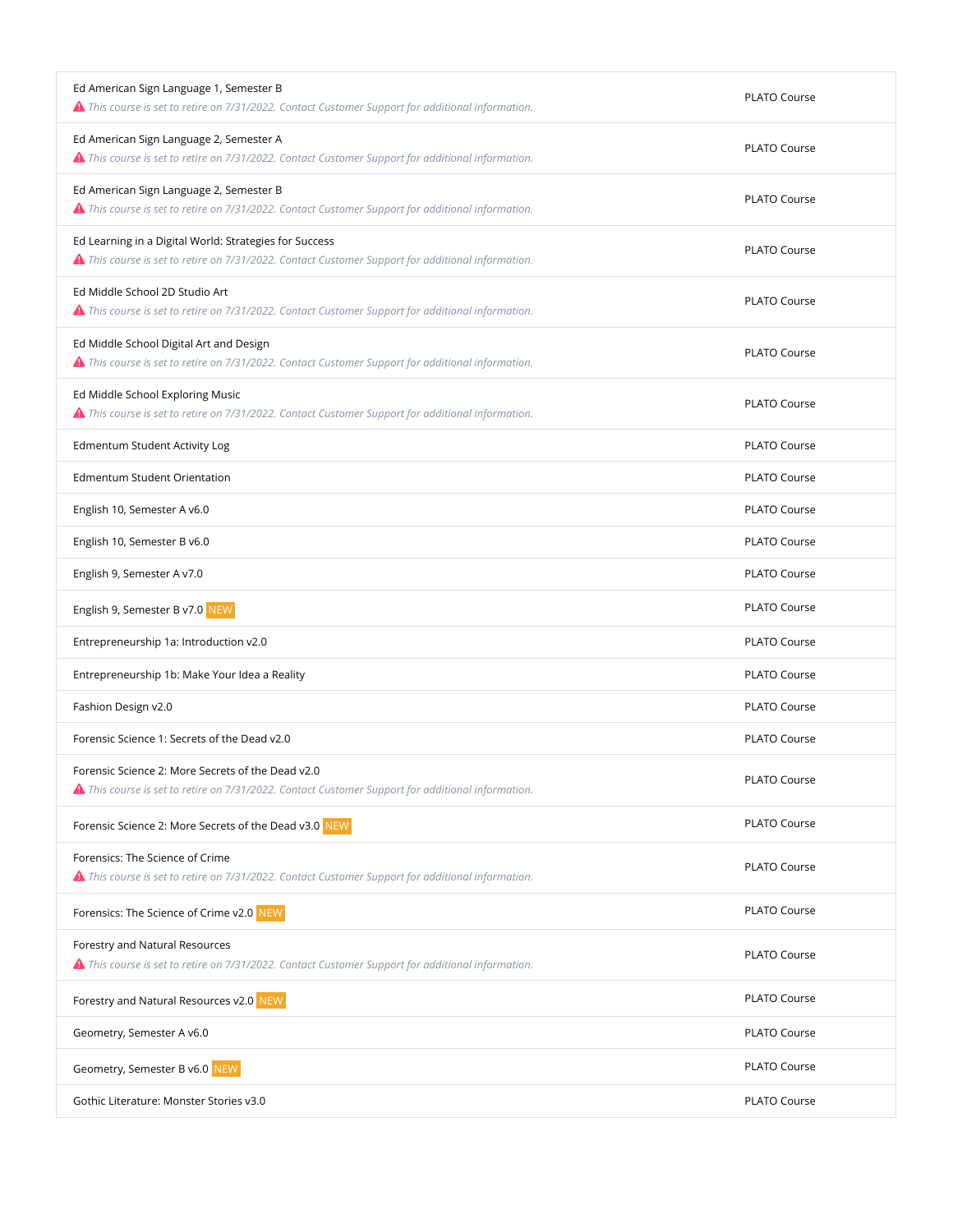| Ed American Sign Language 1, Semester B<br>▲ This course is set to retire on 7/31/2022. Contact Customer Support for additional information.                | <b>PLATO Course</b> |
|-------------------------------------------------------------------------------------------------------------------------------------------------------------|---------------------|
| Ed American Sign Language 2, Semester A<br>▲ This course is set to retire on 7/31/2022. Contact Customer Support for additional information.                | <b>PLATO Course</b> |
| Ed American Sign Language 2, Semester B<br>▲ This course is set to retire on 7/31/2022. Contact Customer Support for additional information.                | <b>PLATO Course</b> |
| Ed Learning in a Digital World: Strategies for Success<br>▲ This course is set to retire on 7/31/2022. Contact Customer Support for additional information. | PLATO Course        |
| Ed Middle School 2D Studio Art<br>▲ This course is set to retire on 7/31/2022. Contact Customer Support for additional information.                         | PLATO Course        |
| Ed Middle School Digital Art and Design<br>▲ This course is set to retire on 7/31/2022. Contact Customer Support for additional information.                | <b>PLATO Course</b> |
| Ed Middle School Exploring Music<br>▲ This course is set to retire on 7/31/2022. Contact Customer Support for additional information.                       | PLATO Course        |
| <b>Edmentum Student Activity Log</b>                                                                                                                        | <b>PLATO Course</b> |
| <b>Edmentum Student Orientation</b>                                                                                                                         | PLATO Course        |
| English 10, Semester A v6.0                                                                                                                                 | <b>PLATO Course</b> |
| English 10, Semester B v6.0                                                                                                                                 | PLATO Course        |
| English 9, Semester A v7.0                                                                                                                                  | <b>PLATO Course</b> |
| English 9, Semester B v7.0 NEW                                                                                                                              | <b>PLATO Course</b> |
| Entrepreneurship 1a: Introduction v2.0                                                                                                                      | PLATO Course        |
| Entrepreneurship 1b: Make Your Idea a Reality                                                                                                               | PLATO Course        |
| Fashion Design v2.0                                                                                                                                         | PLATO Course        |
| Forensic Science 1: Secrets of the Dead v2.0                                                                                                                | <b>PLATO Course</b> |
| Forensic Science 2: More Secrets of the Dead v2.0<br>▲ This course is set to retire on 7/31/2022. Contact Customer Support for additional information.      | PLATO Course        |
| Forensic Science 2: More Secrets of the Dead v3.0 NEW                                                                                                       | PLATO Course        |
| Forensics: The Science of Crime<br>▲ This course is set to retire on 7/31/2022. Contact Customer Support for additional information.                        | PLATO Course        |
| Forensics: The Science of Crime v2.0 NEW                                                                                                                    | <b>PLATO Course</b> |
| Forestry and Natural Resources<br>▲ This course is set to retire on 7/31/2022. Contact Customer Support for additional information.                         | PLATO Course        |
| Forestry and Natural Resources v2.0 NEW                                                                                                                     | PLATO Course        |
| Geometry, Semester A v6.0                                                                                                                                   | PLATO Course        |
| Geometry, Semester B v6.0 NEW                                                                                                                               | PLATO Course        |
| Gothic Literature: Monster Stories v3.0                                                                                                                     | PLATO Course        |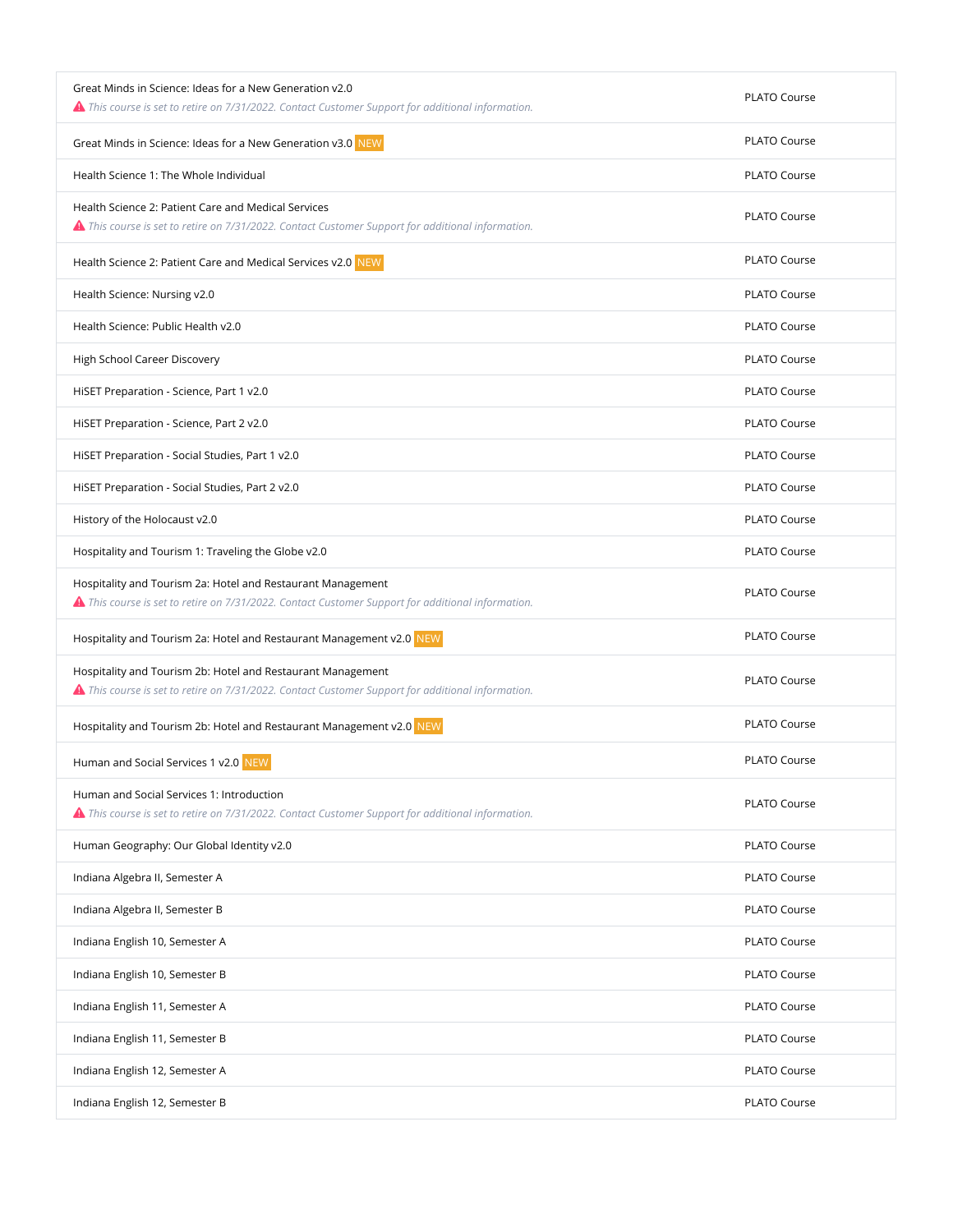| Great Minds in Science: Ideas for a New Generation v2.0<br>▲ This course is set to retire on 7/31/2022. Contact Customer Support for additional information.     | <b>PLATO Course</b> |
|------------------------------------------------------------------------------------------------------------------------------------------------------------------|---------------------|
| Great Minds in Science: Ideas for a New Generation v3.0 NEW                                                                                                      | <b>PLATO Course</b> |
| Health Science 1: The Whole Individual                                                                                                                           | PLATO Course        |
| Health Science 2: Patient Care and Medical Services<br>▲ This course is set to retire on 7/31/2022. Contact Customer Support for additional information.         | PLATO Course        |
| Health Science 2: Patient Care and Medical Services v2.0 NEW                                                                                                     | PLATO Course        |
| Health Science: Nursing v2.0                                                                                                                                     | PLATO Course        |
| Health Science: Public Health y2.0                                                                                                                               | PLATO Course        |
| High School Career Discovery                                                                                                                                     | PLATO Course        |
| HiSET Preparation - Science, Part 1 v2.0                                                                                                                         | PLATO Course        |
| HiSET Preparation - Science, Part 2 v2.0                                                                                                                         | <b>PLATO Course</b> |
| HiSET Preparation - Social Studies, Part 1 v2.0                                                                                                                  | <b>PLATO Course</b> |
| HiSET Preparation - Social Studies, Part 2 v2.0                                                                                                                  | PLATO Course        |
| History of the Holocaust v2.0                                                                                                                                    | PLATO Course        |
| Hospitality and Tourism 1: Traveling the Globe v2.0                                                                                                              | PLATO Course        |
| Hospitality and Tourism 2a: Hotel and Restaurant Management<br>▲ This course is set to retire on 7/31/2022. Contact Customer Support for additional information. | PLATO Course        |
| Hospitality and Tourism 2a: Hotel and Restaurant Management v2.0 NEW                                                                                             | PLATO Course        |
| Hospitality and Tourism 2b: Hotel and Restaurant Management<br>▲ This course is set to retire on 7/31/2022. Contact Customer Support for additional information. | <b>PLATO Course</b> |
| Hospitality and Tourism 2b: Hotel and Restaurant Management v2.0 NEW                                                                                             | <b>PLATO Course</b> |
| Human and Social Services 1 v2.0 NEW                                                                                                                             | PLATO Course        |
| Human and Social Services 1: Introduction<br>▲ This course is set to retire on 7/31/2022. Contact Customer Support for additional information.                   | PLATO Course        |
| Human Geography: Our Global Identity v2.0                                                                                                                        | PLATO Course        |
| Indiana Algebra II, Semester A                                                                                                                                   | PLATO Course        |
| Indiana Algebra II, Semester B                                                                                                                                   | PLATO Course        |
| Indiana English 10, Semester A                                                                                                                                   | PLATO Course        |
| Indiana English 10, Semester B                                                                                                                                   | PLATO Course        |
| Indiana English 11, Semester A                                                                                                                                   | PLATO Course        |
| Indiana English 11, Semester B                                                                                                                                   | PLATO Course        |
| Indiana English 12, Semester A                                                                                                                                   | PLATO Course        |
| Indiana English 12, Semester B                                                                                                                                   | PLATO Course        |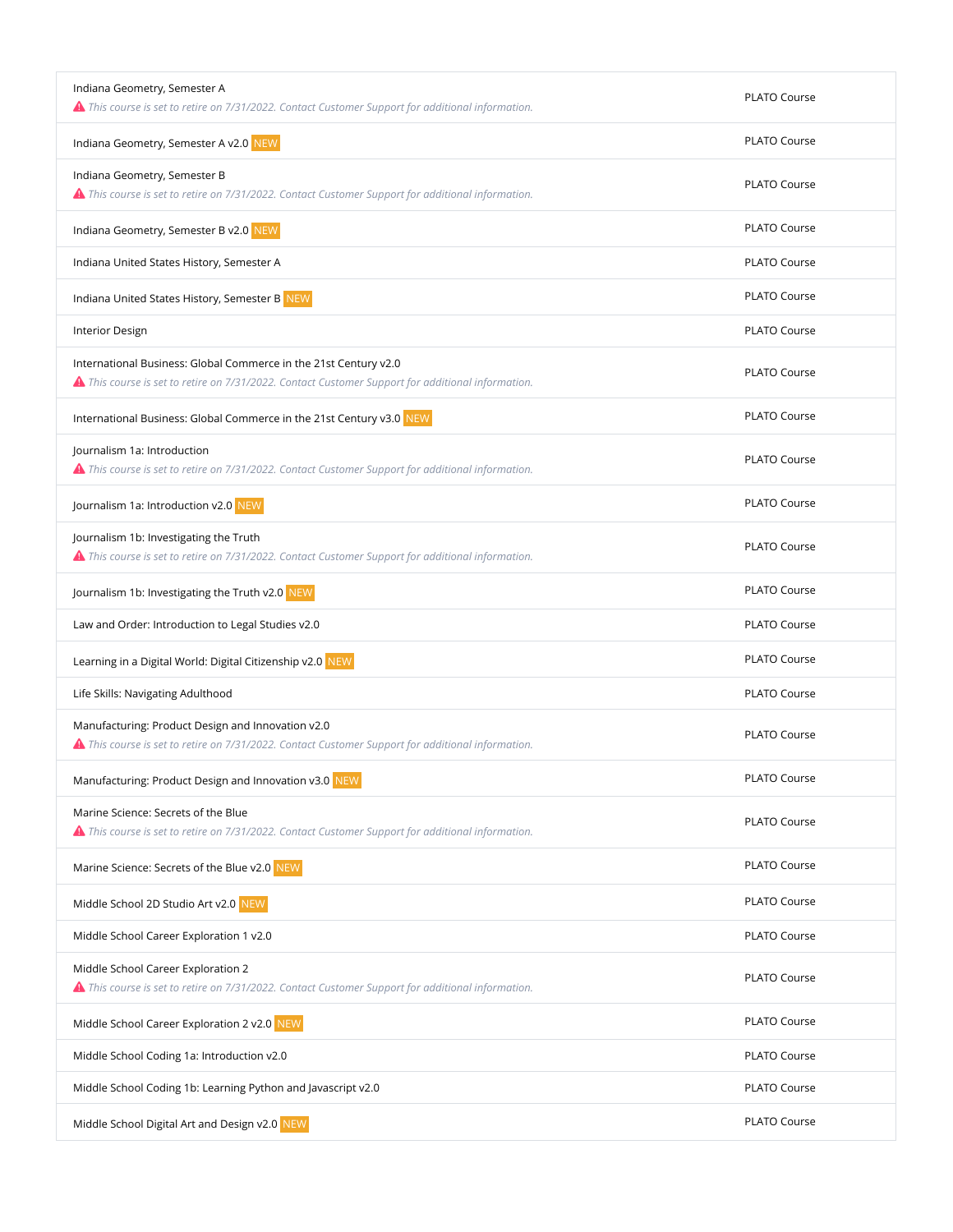| Indiana Geometry, Semester A<br>▲ This course is set to retire on 7/31/2022. Contact Customer Support for additional information.                                     | <b>PLATO Course</b> |
|-----------------------------------------------------------------------------------------------------------------------------------------------------------------------|---------------------|
| Indiana Geometry, Semester A v2.0 NEW                                                                                                                                 | <b>PLATO Course</b> |
| Indiana Geometry, Semester B<br>▲ This course is set to retire on 7/31/2022. Contact Customer Support for additional information.                                     | PLATO Course        |
| Indiana Geometry, Semester B v2.0 NEW                                                                                                                                 | <b>PLATO Course</b> |
| Indiana United States History, Semester A                                                                                                                             | PLATO Course        |
| Indiana United States History, Semester B NEW                                                                                                                         | PLATO Course        |
| <b>Interior Design</b>                                                                                                                                                | PLATO Course        |
| International Business: Global Commerce in the 21st Century v2.0<br>▲ This course is set to retire on 7/31/2022. Contact Customer Support for additional information. | <b>PLATO Course</b> |
| International Business: Global Commerce in the 21st Century v3.0 NEW                                                                                                  | <b>PLATO Course</b> |
| Journalism 1a: Introduction<br>A This course is set to retire on 7/31/2022. Contact Customer Support for additional information.                                      | <b>PLATO Course</b> |
| Journalism 1a: Introduction v2.0 NEW                                                                                                                                  | <b>PLATO Course</b> |
| Journalism 1b: Investigating the Truth<br>▲ This course is set to retire on 7/31/2022. Contact Customer Support for additional information.                           | PLATO Course        |
| Journalism 1b: Investigating the Truth v2.0 NEW                                                                                                                       | PLATO Course        |
| Law and Order: Introduction to Legal Studies v2.0                                                                                                                     | <b>PLATO Course</b> |
| Learning in a Digital World: Digital Citizenship v2.0 NEW                                                                                                             | PLATO Course        |
| Life Skills: Navigating Adulthood                                                                                                                                     | PLATO Course        |
| Manufacturing: Product Design and Innovation v2.0<br>A This course is set to retire on 7/31/2022. Contact Customer Support for additional information.                | <b>PLATO Course</b> |
| Manufacturing: Product Design and Innovation v3.0 NEW                                                                                                                 | PLATO Course        |
| Marine Science: Secrets of the Blue<br>A This course is set to retire on 7/31/2022. Contact Customer Support for additional information.                              | PLATO Course        |
| Marine Science: Secrets of the Blue v2.0 NEW                                                                                                                          | PLATO Course        |
| Middle School 2D Studio Art v2.0 NEW                                                                                                                                  | PLATO Course        |
| Middle School Career Exploration 1 v2.0                                                                                                                               |                     |
|                                                                                                                                                                       | PLATO Course        |
| Middle School Career Exploration 2<br>A This course is set to retire on 7/31/2022. Contact Customer Support for additional information.                               | PLATO Course        |
| Middle School Career Exploration 2 v2.0 NEW                                                                                                                           | PLATO Course        |
| Middle School Coding 1a: Introduction v2.0                                                                                                                            | PLATO Course        |
| Middle School Coding 1b: Learning Python and Javascript v2.0                                                                                                          | PLATO Course        |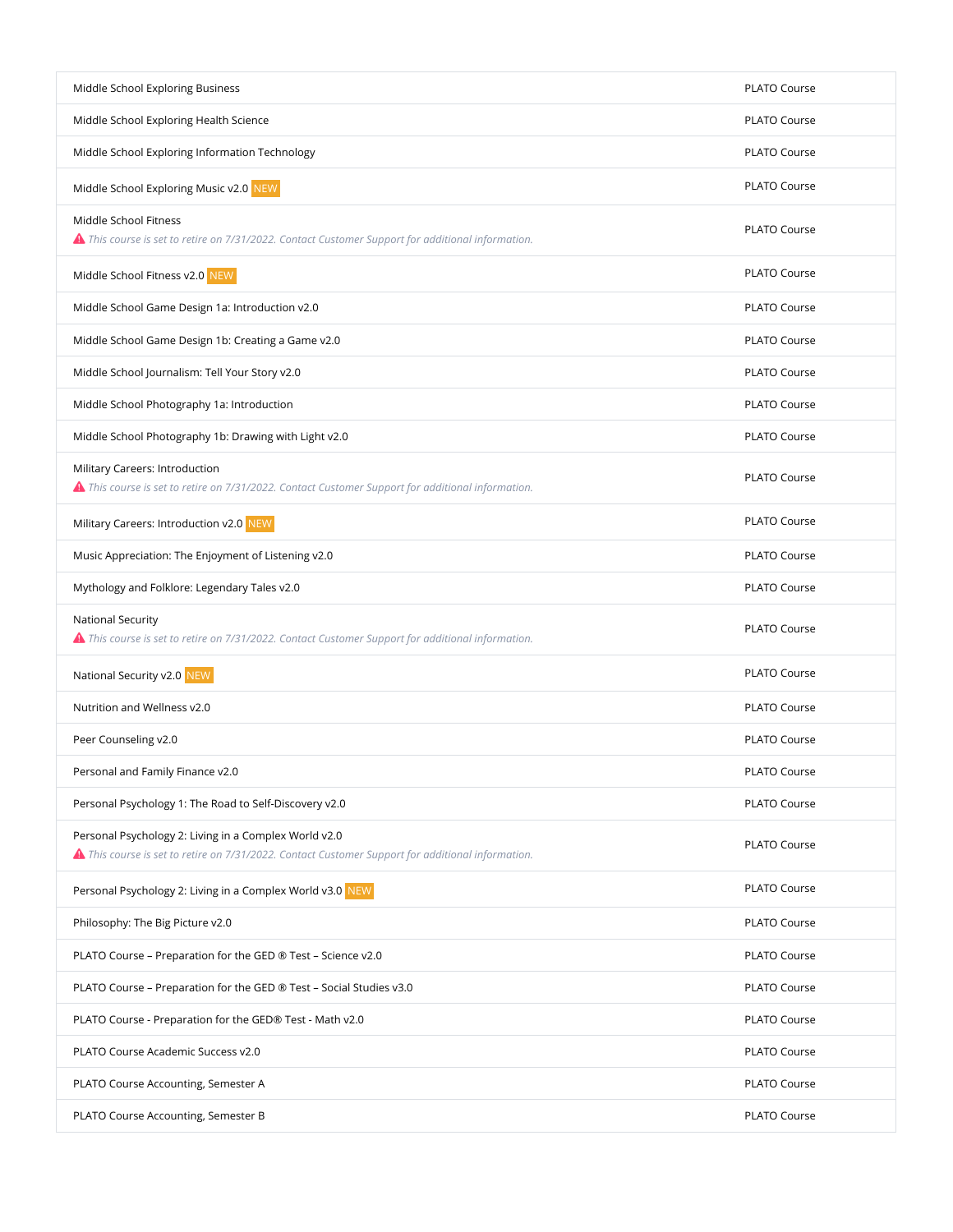| Middle School Exploring Business                                                                                                                           | <b>PLATO Course</b> |
|------------------------------------------------------------------------------------------------------------------------------------------------------------|---------------------|
| Middle School Exploring Health Science                                                                                                                     | PLATO Course        |
| Middle School Exploring Information Technology                                                                                                             | PLATO Course        |
| Middle School Exploring Music v2.0 NEW                                                                                                                     | PLATO Course        |
| Middle School Fitness<br>▲ This course is set to retire on 7/31/2022. Contact Customer Support for additional information.                                 | <b>PLATO Course</b> |
| Middle School Fitness v2.0 NEW                                                                                                                             | PLATO Course        |
| Middle School Game Design 1a: Introduction v2.0                                                                                                            | PLATO Course        |
| Middle School Game Design 1b: Creating a Game v2.0                                                                                                         | PLATO Course        |
| Middle School Journalism: Tell Your Story v2.0                                                                                                             | PLATO Course        |
| Middle School Photography 1a: Introduction                                                                                                                 | PLATO Course        |
| Middle School Photography 1b: Drawing with Light v2.0                                                                                                      | <b>PLATO Course</b> |
| Military Careers: Introduction<br>▲ This course is set to retire on 7/31/2022. Contact Customer Support for additional information.                        | <b>PLATO Course</b> |
| Military Careers: Introduction v2.0 NEW                                                                                                                    | PLATO Course        |
| Music Appreciation: The Enjoyment of Listening v2.0                                                                                                        | PLATO Course        |
| Mythology and Folklore: Legendary Tales v2.0                                                                                                               | PLATO Course        |
| National Security<br>▲ This course is set to retire on 7/31/2022. Contact Customer Support for additional information.                                     | PLATO Course        |
| National Security v2.0 NEW                                                                                                                                 | PLATO Course        |
| Nutrition and Wellness v2.0                                                                                                                                | PLATO Course        |
| Peer Counseling v2.0                                                                                                                                       | <b>PLATO Course</b> |
| Personal and Family Finance v2.0                                                                                                                           | PLATO Course        |
| Personal Psychology 1: The Road to Self-Discovery v2.0                                                                                                     | PLATO Course        |
| Personal Psychology 2: Living in a Complex World v2.0<br>▲ This course is set to retire on 7/31/2022. Contact Customer Support for additional information. | PLATO Course        |
| Personal Psychology 2: Living in a Complex World v3.0 NEW                                                                                                  | PLATO Course        |
| Philosophy: The Big Picture v2.0                                                                                                                           | PLATO Course        |
| PLATO Course - Preparation for the GED ® Test - Science v2.0                                                                                               | PLATO Course        |
|                                                                                                                                                            |                     |
| PLATO Course - Preparation for the GED ® Test - Social Studies v3.0                                                                                        | PLATO Course        |
| PLATO Course - Preparation for the GED® Test - Math v2.0                                                                                                   | PLATO Course        |
| PLATO Course Academic Success v2.0                                                                                                                         | PLATO Course        |
| PLATO Course Accounting, Semester A                                                                                                                        | PLATO Course        |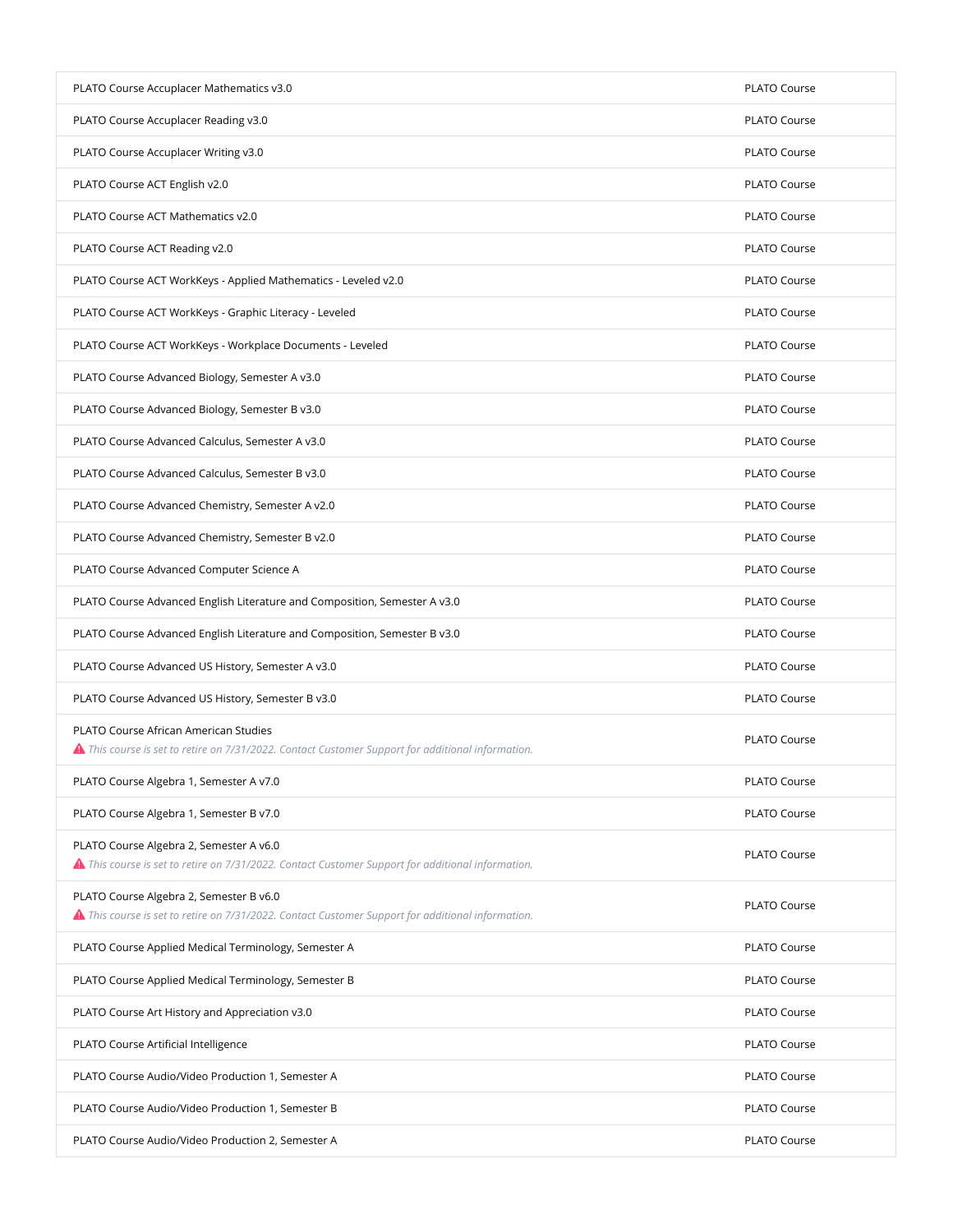| PLATO Course Accuplacer Mathematics v3.0                                                                                                     | PLATO Course        |
|----------------------------------------------------------------------------------------------------------------------------------------------|---------------------|
| PLATO Course Accuplacer Reading v3.0                                                                                                         | PLATO Course        |
| PLATO Course Accuplacer Writing v3.0                                                                                                         | <b>PLATO Course</b> |
| PLATO Course ACT English v2.0                                                                                                                | <b>PLATO Course</b> |
| PLATO Course ACT Mathematics v2.0                                                                                                            | <b>PLATO Course</b> |
| PLATO Course ACT Reading v2.0                                                                                                                | PLATO Course        |
| PLATO Course ACT WorkKeys - Applied Mathematics - Leveled v2.0                                                                               | <b>PLATO Course</b> |
| PLATO Course ACT WorkKeys - Graphic Literacy - Leveled                                                                                       | PLATO Course        |
| PLATO Course ACT WorkKeys - Workplace Documents - Leveled                                                                                    | <b>PLATO Course</b> |
| PLATO Course Advanced Biology, Semester A v3.0                                                                                               | PLATO Course        |
| PLATO Course Advanced Biology, Semester B v3.0                                                                                               | <b>PLATO Course</b> |
| PLATO Course Advanced Calculus, Semester A v3.0                                                                                              | PLATO Course        |
| PLATO Course Advanced Calculus, Semester B v3.0                                                                                              | <b>PLATO Course</b> |
| PLATO Course Advanced Chemistry, Semester A v2.0                                                                                             | <b>PLATO Course</b> |
| PLATO Course Advanced Chemistry, Semester B v2.0                                                                                             | PLATO Course        |
| PLATO Course Advanced Computer Science A                                                                                                     | PLATO Course        |
| PLATO Course Advanced English Literature and Composition, Semester A v3.0                                                                    | PLATO Course        |
|                                                                                                                                              |                     |
| PLATO Course Advanced English Literature and Composition, Semester B v3.0                                                                    | PLATO Course        |
| PLATO Course Advanced US History, Semester A v3.0                                                                                            | PLATO Course        |
| PLATO Course Advanced US History, Semester B v3.0                                                                                            | <b>PLATO Course</b> |
| PLATO Course African American Studies<br>▲ This course is set to retire on 7/31/2022. Contact Customer Support for additional information.   | PLATO Course        |
| PLATO Course Algebra 1, Semester A v7.0                                                                                                      | PLATO Course        |
| PLATO Course Algebra 1, Semester B v7.0                                                                                                      | PLATO Course        |
| PLATO Course Algebra 2, Semester A v6.0<br>This course is set to retire on 7/31/2022. Contact Customer Support for additional information.   | PLATO Course        |
| PLATO Course Algebra 2, Semester B v6.0<br>▲ This course is set to retire on 7/31/2022. Contact Customer Support for additional information. | PLATO Course        |
| PLATO Course Applied Medical Terminology, Semester A                                                                                         | <b>PLATO Course</b> |
| PLATO Course Applied Medical Terminology, Semester B                                                                                         | PLATO Course        |
| PLATO Course Art History and Appreciation v3.0                                                                                               | PLATO Course        |
| PLATO Course Artificial Intelligence                                                                                                         | PLATO Course        |
| PLATO Course Audio/Video Production 1, Semester A                                                                                            | PLATO Course        |
| PLATO Course Audio/Video Production 1, Semester B                                                                                            | PLATO Course        |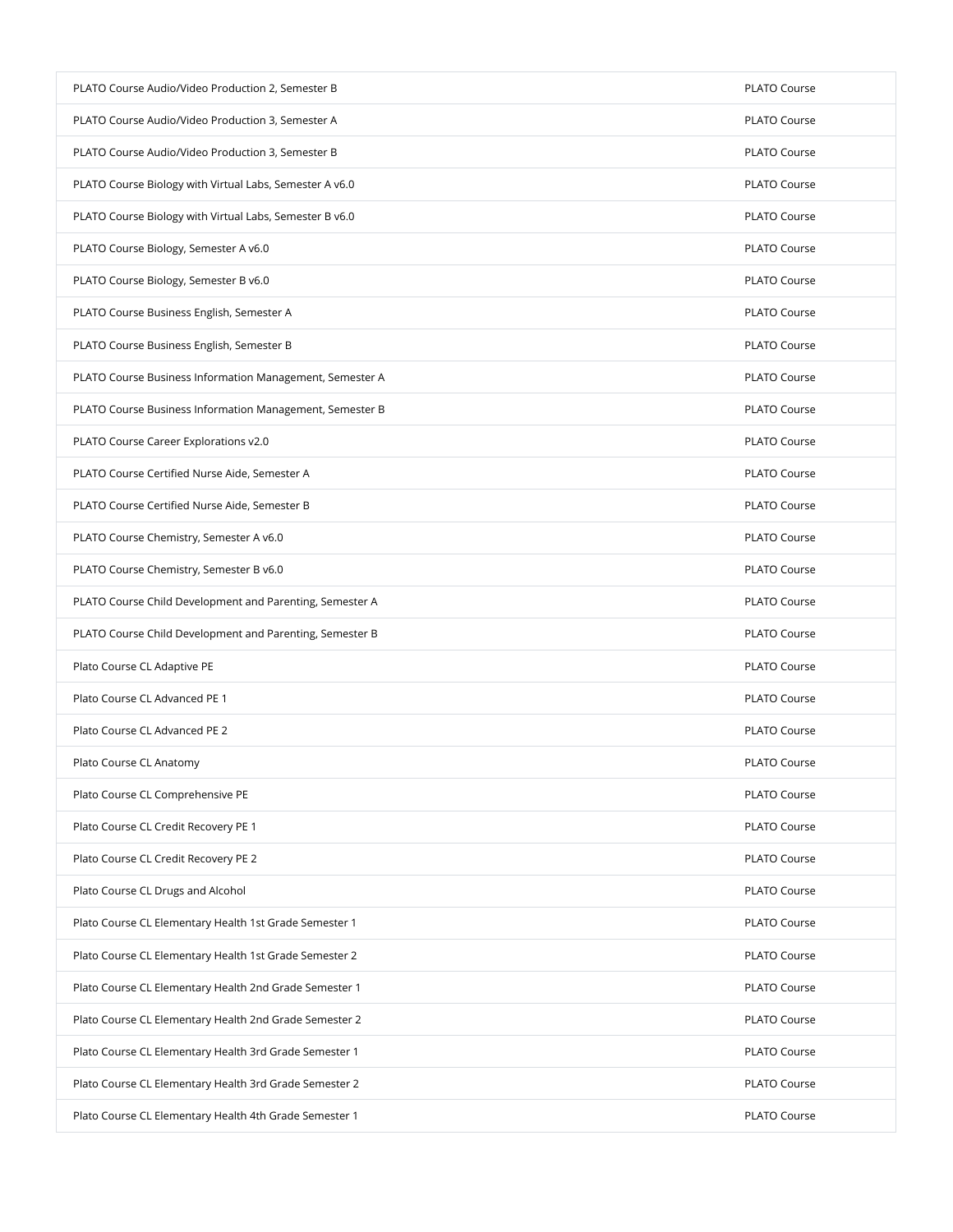| PLATO Course Audio/Video Production 2, Semester B        | PLATO Course        |
|----------------------------------------------------------|---------------------|
| PLATO Course Audio/Video Production 3, Semester A        | PLATO Course        |
| PLATO Course Audio/Video Production 3, Semester B        | PLATO Course        |
| PLATO Course Biology with Virtual Labs, Semester A v6.0  | PLATO Course        |
| PLATO Course Biology with Virtual Labs, Semester B v6.0  | PLATO Course        |
| PLATO Course Biology, Semester A v6.0                    | PLATO Course        |
| PLATO Course Biology, Semester B v6.0                    | PLATO Course        |
| PLATO Course Business English, Semester A                | PLATO Course        |
| PLATO Course Business English, Semester B                | PLATO Course        |
| PLATO Course Business Information Management, Semester A | PLATO Course        |
| PLATO Course Business Information Management, Semester B | PLATO Course        |
| PLATO Course Career Explorations v2.0                    | <b>PLATO Course</b> |
| PLATO Course Certified Nurse Aide, Semester A            | PLATO Course        |
| PLATO Course Certified Nurse Aide, Semester B            | PLATO Course        |
| PLATO Course Chemistry, Semester A v6.0                  | PLATO Course        |
| PLATO Course Chemistry, Semester B v6.0                  | PLATO Course        |
| PLATO Course Child Development and Parenting, Semester A | PLATO Course        |
| PLATO Course Child Development and Parenting, Semester B | PLATO Course        |
| Plato Course CL Adaptive PE                              | PLATO Course        |
| Plato Course CL Advanced PE 1                            | PLATO Course        |
| Plato Course CL Advanced PE 2                            | <b>PLATO Course</b> |
| Plato Course CL Anatomy                                  | <b>PLATO Course</b> |
| Plato Course CL Comprehensive PE                         | <b>PLATO Course</b> |
| Plato Course CL Credit Recovery PE 1                     | PLATO Course        |
| Plato Course CL Credit Recovery PE 2                     | PLATO Course        |
| Plato Course CL Drugs and Alcohol                        | PLATO Course        |
| Plato Course CL Elementary Health 1st Grade Semester 1   | PLATO Course        |
| Plato Course CL Elementary Health 1st Grade Semester 2   |                     |
|                                                          | PLATO Course        |
| Plato Course CL Elementary Health 2nd Grade Semester 1   | PLATO Course        |
| Plato Course CL Elementary Health 2nd Grade Semester 2   | PLATO Course        |
| Plato Course CL Elementary Health 3rd Grade Semester 1   | PLATO Course        |
| Plato Course CL Elementary Health 3rd Grade Semester 2   | PLATO Course        |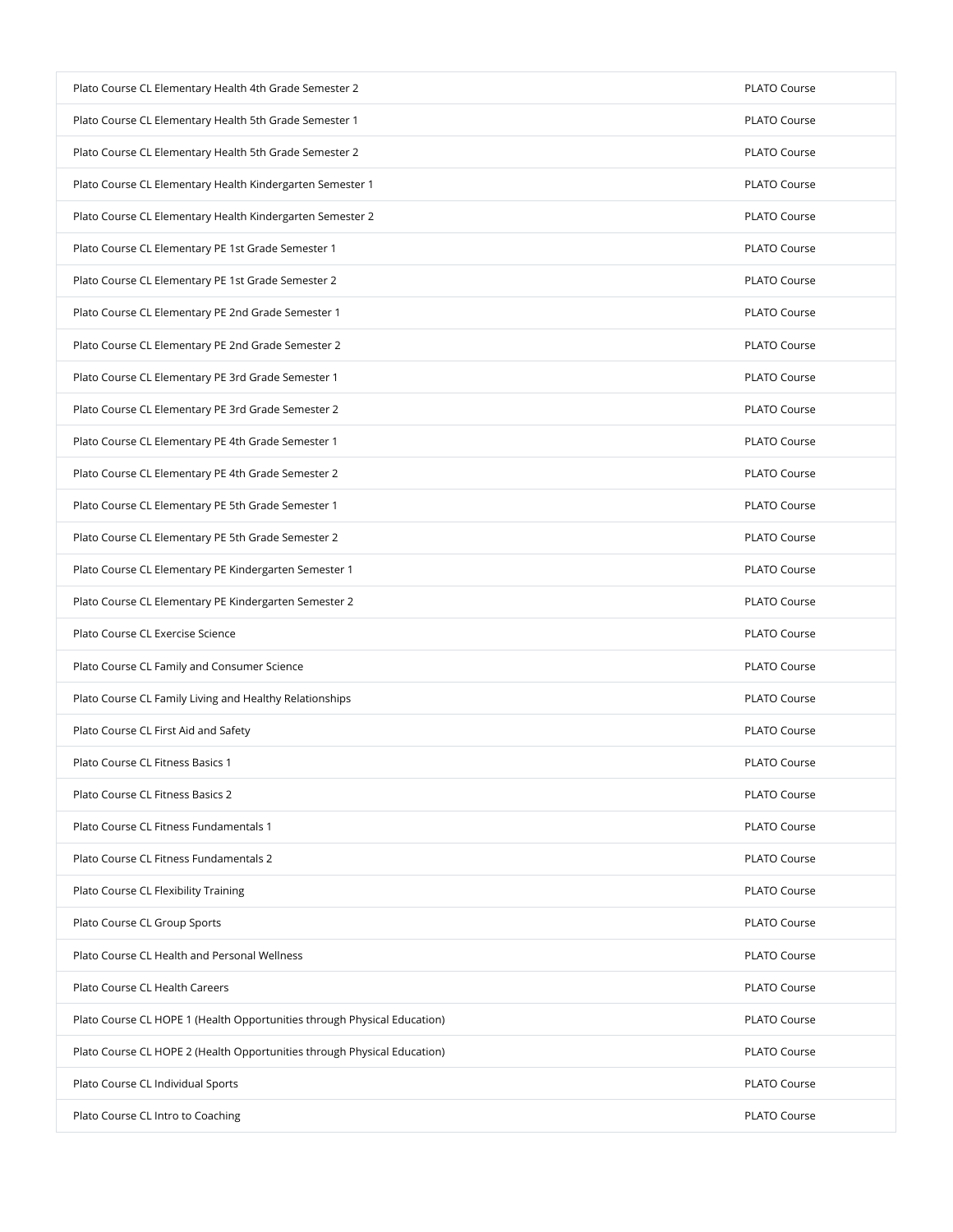| Plato Course CL Elementary Health 4th Grade Semester 2                   | PLATO Course        |
|--------------------------------------------------------------------------|---------------------|
| Plato Course CL Elementary Health 5th Grade Semester 1                   | PLATO Course        |
| Plato Course CL Elementary Health 5th Grade Semester 2                   | PLATO Course        |
| Plato Course CL Elementary Health Kindergarten Semester 1                | PLATO Course        |
| Plato Course CL Elementary Health Kindergarten Semester 2                | PLATO Course        |
| Plato Course CL Elementary PE 1st Grade Semester 1                       | PLATO Course        |
| Plato Course CL Elementary PE 1st Grade Semester 2                       | PLATO Course        |
| Plato Course CL Elementary PE 2nd Grade Semester 1                       | PLATO Course        |
| Plato Course CL Elementary PE 2nd Grade Semester 2                       | PLATO Course        |
| Plato Course CL Elementary PE 3rd Grade Semester 1                       | PLATO Course        |
| Plato Course CL Elementary PE 3rd Grade Semester 2                       | PLATO Course        |
| Plato Course CL Elementary PE 4th Grade Semester 1                       | PLATO Course        |
| Plato Course CL Elementary PE 4th Grade Semester 2                       | <b>PLATO Course</b> |
| Plato Course CL Elementary PE 5th Grade Semester 1                       | PLATO Course        |
| Plato Course CL Elementary PE 5th Grade Semester 2                       | PLATO Course        |
| Plato Course CL Elementary PE Kindergarten Semester 1                    | PLATO Course        |
| Plato Course CL Elementary PE Kindergarten Semester 2                    | PLATO Course        |
| Plato Course CL Exercise Science                                         | PLATO Course        |
| Plato Course CL Family and Consumer Science                              | PLATO Course        |
| Plato Course CL Family Living and Healthy Relationships                  | PLATO Course        |
| Plato Course CL First Aid and Safety                                     | PLATO Course        |
| Plato Course CL Fitness Basics 1                                         | <b>PLATO Course</b> |
| Plato Course CL Fitness Basics 2                                         | PLATO Course        |
| Plato Course CL Fitness Fundamentals 1                                   | PLATO Course        |
| Plato Course CL Fitness Fundamentals 2                                   | PLATO Course        |
| Plato Course CL Flexibility Training                                     | PLATO Course        |
| Plato Course CL Group Sports                                             | PLATO Course        |
| Plato Course CL Health and Personal Wellness                             | PLATO Course        |
| Plato Course CL Health Careers                                           | PLATO Course        |
| Plato Course CL HOPE 1 (Health Opportunities through Physical Education) | PLATO Course        |
| Plato Course CL HOPE 2 (Health Opportunities through Physical Education) | PLATO Course        |
| Plato Course CL Individual Sports                                        | PLATO Course        |
| Plato Course CL Intro to Coaching                                        | PLATO Course        |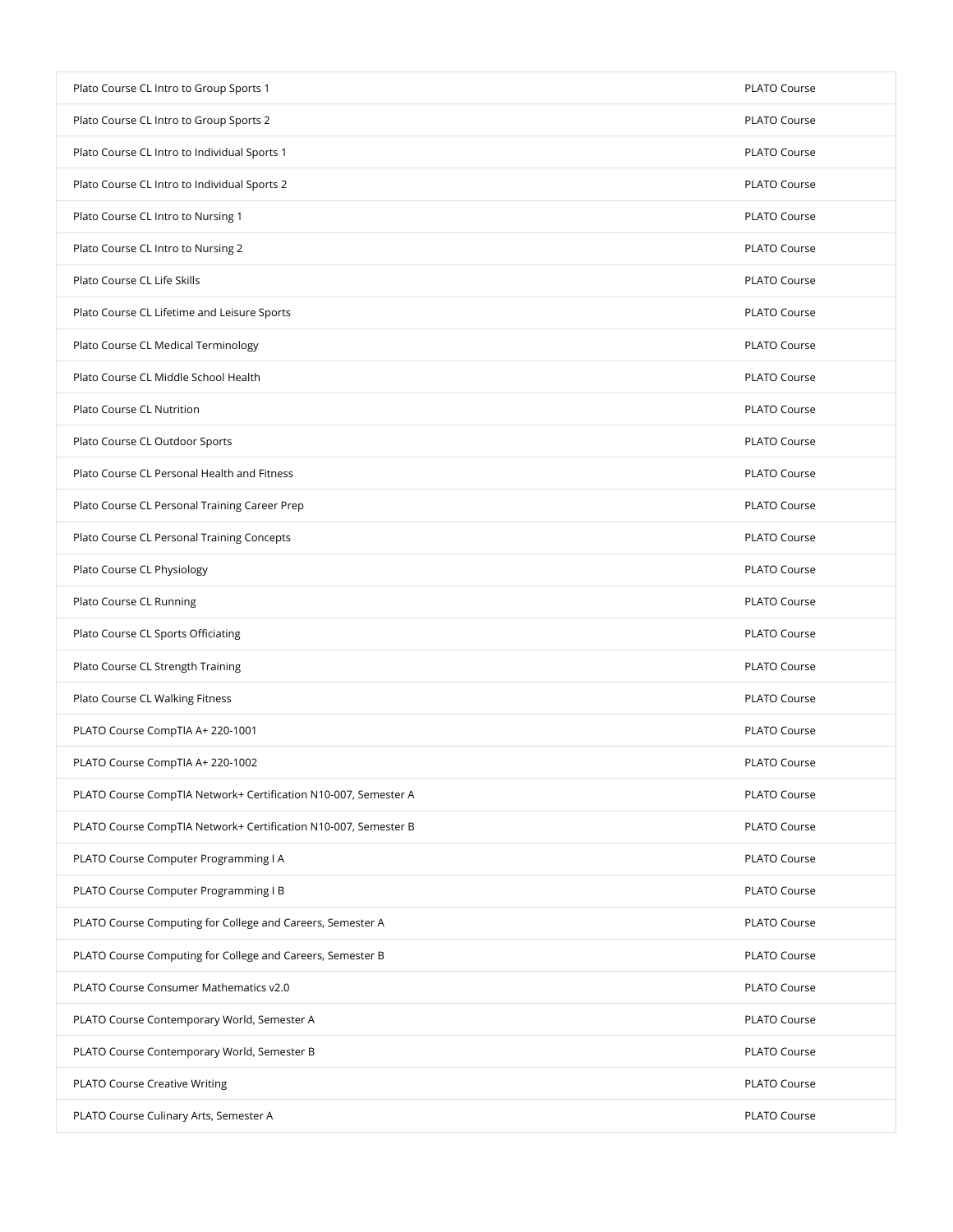| Plato Course CL Intro to Group Sports 1                         | PLATO Course        |
|-----------------------------------------------------------------|---------------------|
| Plato Course CL Intro to Group Sports 2                         | PLATO Course        |
| Plato Course CL Intro to Individual Sports 1                    | PLATO Course        |
| Plato Course CL Intro to Individual Sports 2                    | PLATO Course        |
| Plato Course CL Intro to Nursing 1                              | PLATO Course        |
| Plato Course CL Intro to Nursing 2                              | PLATO Course        |
| Plato Course CL Life Skills                                     | PLATO Course        |
| Plato Course CL Lifetime and Leisure Sports                     | PLATO Course        |
| Plato Course CL Medical Terminology                             | PLATO Course        |
| Plato Course CL Middle School Health                            | PLATO Course        |
| Plato Course CL Nutrition                                       | PLATO Course        |
| Plato Course CL Outdoor Sports                                  | PLATO Course        |
| Plato Course CL Personal Health and Fitness                     | PLATO Course        |
| Plato Course CL Personal Training Career Prep                   | PLATO Course        |
| Plato Course CL Personal Training Concepts                      | PLATO Course        |
| Plato Course CL Physiology                                      | PLATO Course        |
| Plato Course CL Running                                         | PLATO Course        |
| Plato Course CL Sports Officiating                              | PLATO Course        |
| Plato Course CL Strength Training                               | PLATO Course        |
| Plato Course CL Walking Fitness                                 | PLATO Course        |
| PLATO Course CompTIA A+ 220-1001                                | PLATO Course        |
| PLATO Course CompTIA A+ 220-1002                                | <b>PLATO Course</b> |
| PLATO Course CompTIA Network+ Certification N10-007, Semester A | PLATO Course        |
| PLATO Course CompTIA Network+ Certification N10-007, Semester B | PLATO Course        |
| PLATO Course Computer Programming I A                           | PLATO Course        |
| PLATO Course Computer Programming I B                           | PLATO Course        |
| PLATO Course Computing for College and Careers, Semester A      | PLATO Course        |
| PLATO Course Computing for College and Careers, Semester B      | PLATO Course        |
| PLATO Course Consumer Mathematics v2.0                          | PLATO Course        |
| PLATO Course Contemporary World, Semester A                     | PLATO Course        |
| PLATO Course Contemporary World, Semester B                     | PLATO Course        |
| <b>PLATO Course Creative Writing</b>                            | PLATO Course        |
| PLATO Course Culinary Arts, Semester A                          | PLATO Course        |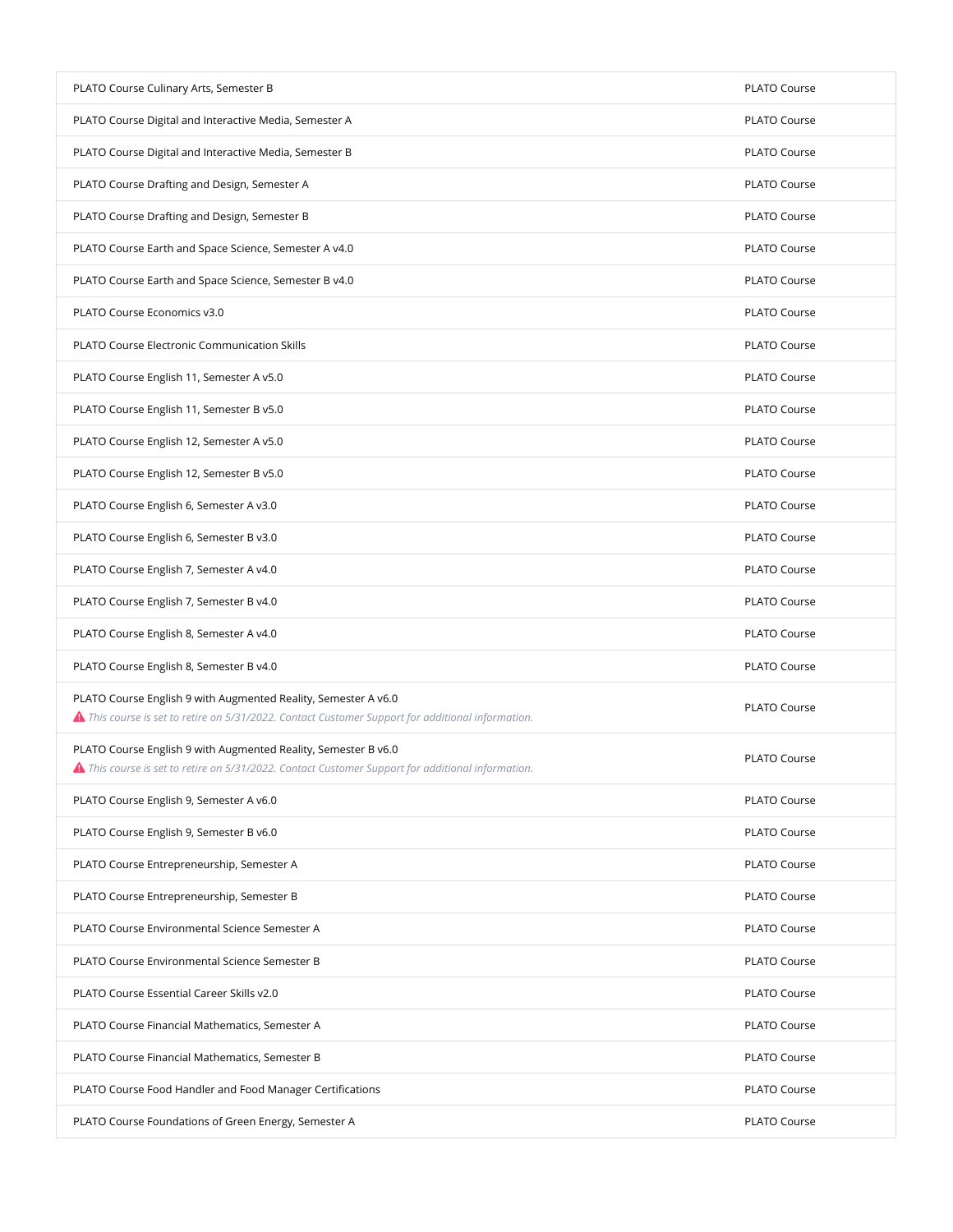| PLATO Course Culinary Arts, Semester B                                                                                                                                             | PLATO Course        |
|------------------------------------------------------------------------------------------------------------------------------------------------------------------------------------|---------------------|
| PLATO Course Digital and Interactive Media, Semester A                                                                                                                             | PLATO Course        |
| PLATO Course Digital and Interactive Media, Semester B                                                                                                                             | PLATO Course        |
| PLATO Course Drafting and Design, Semester A                                                                                                                                       | PLATO Course        |
| PLATO Course Drafting and Design, Semester B                                                                                                                                       | PLATO Course        |
| PLATO Course Earth and Space Science, Semester A v4.0                                                                                                                              | PLATO Course        |
| PLATO Course Earth and Space Science, Semester B v4.0                                                                                                                              | PLATO Course        |
| PLATO Course Economics v3.0                                                                                                                                                        | PLATO Course        |
| PLATO Course Electronic Communication Skills                                                                                                                                       | PLATO Course        |
| PLATO Course English 11, Semester A v5.0                                                                                                                                           | PLATO Course        |
| PLATO Course English 11, Semester B v5.0                                                                                                                                           | PLATO Course        |
| PLATO Course English 12, Semester A v5.0                                                                                                                                           | <b>PLATO Course</b> |
| PLATO Course English 12, Semester B v5.0                                                                                                                                           | PLATO Course        |
| PLATO Course English 6, Semester A v3.0                                                                                                                                            | PLATO Course        |
| PLATO Course English 6, Semester B v3.0                                                                                                                                            | PLATO Course        |
| PLATO Course English 7, Semester A v4.0                                                                                                                                            | PLATO Course        |
| PLATO Course English 7, Semester B v4.0                                                                                                                                            | PLATO Course        |
| PLATO Course English 8, Semester A v4.0                                                                                                                                            | PLATO Course        |
| PLATO Course English 8, Semester B v4.0                                                                                                                                            | PLATO Course        |
| PLATO Course English 9 with Augmented Reality, Semester A v6.0                                                                                                                     | PLATO Course        |
| ▲ This course is set to retire on 5/31/2022. Contact Customer Support for additional information.                                                                                  |                     |
| PLATO Course English 9 with Augmented Reality, Semester B v6.0<br>$\blacktriangle$ This course is set to retire on 5/31/2022. Contact Customer Support for additional information. | PLATO Course        |
| PLATO Course English 9, Semester A v6.0                                                                                                                                            | PLATO Course        |
| PLATO Course English 9, Semester B v6.0                                                                                                                                            | PLATO Course        |
| PLATO Course Entrepreneurship, Semester A                                                                                                                                          | PLATO Course        |
| PLATO Course Entrepreneurship, Semester B                                                                                                                                          | PLATO Course        |
| PLATO Course Environmental Science Semester A                                                                                                                                      | PLATO Course        |
| PLATO Course Environmental Science Semester B                                                                                                                                      | PLATO Course        |
| PLATO Course Essential Career Skills v2.0                                                                                                                                          | PLATO Course        |
| PLATO Course Financial Mathematics, Semester A                                                                                                                                     | PLATO Course        |
| PLATO Course Financial Mathematics, Semester B                                                                                                                                     | PLATO Course        |
| PLATO Course Food Handler and Food Manager Certifications                                                                                                                          | PLATO Course        |
| PLATO Course Foundations of Green Energy, Semester A                                                                                                                               | PLATO Course        |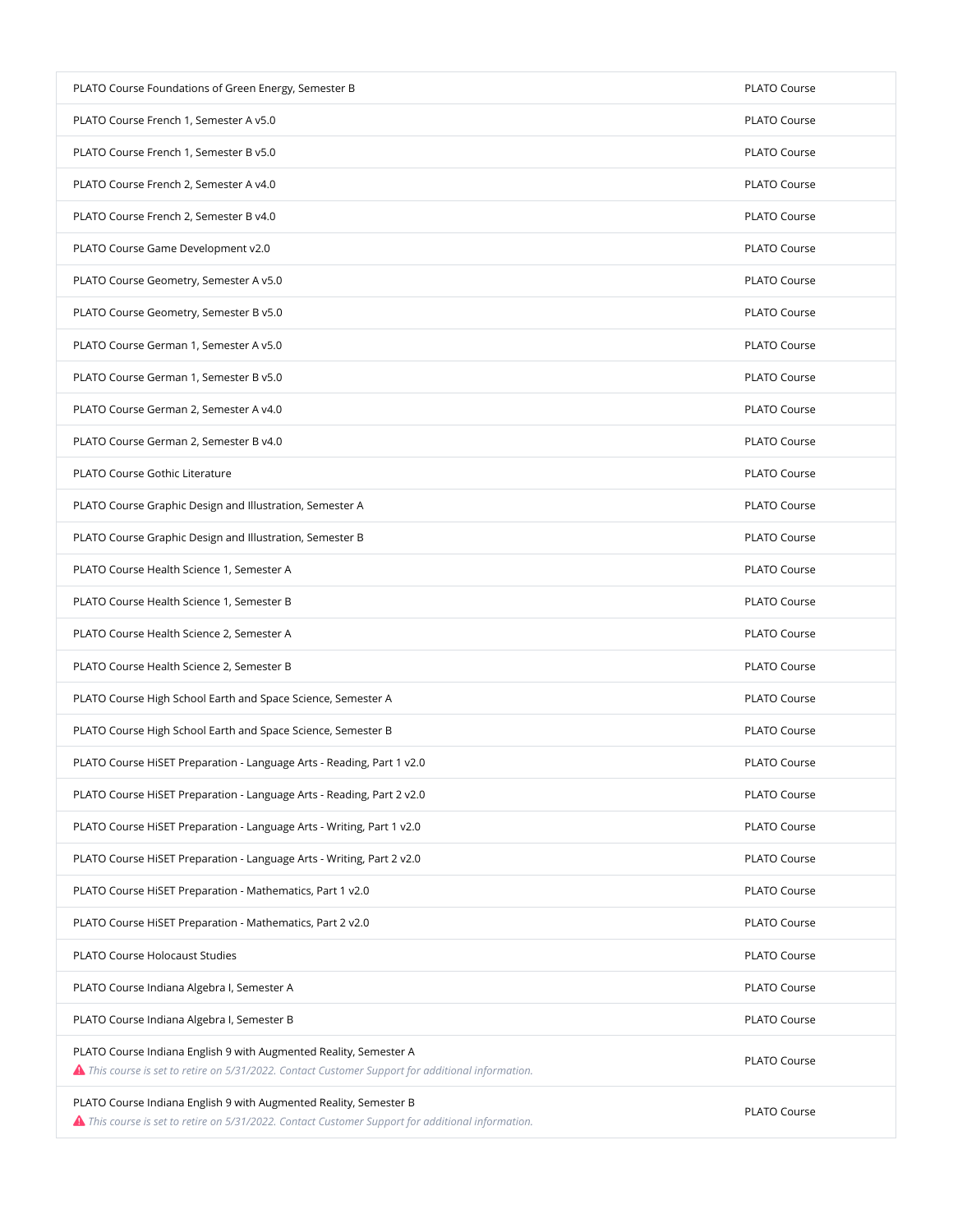| PLATO Course Foundations of Green Energy, Semester B                                                                                                                   | PLATO Course        |
|------------------------------------------------------------------------------------------------------------------------------------------------------------------------|---------------------|
| PLATO Course French 1, Semester A v5.0                                                                                                                                 | PLATO Course        |
| PLATO Course French 1, Semester B v5.0                                                                                                                                 | <b>PLATO Course</b> |
| PLATO Course French 2, Semester A v4.0                                                                                                                                 | <b>PLATO Course</b> |
| PLATO Course French 2, Semester B v4.0                                                                                                                                 | PLATO Course        |
| PLATO Course Game Development v2.0                                                                                                                                     | PLATO Course        |
| PLATO Course Geometry, Semester A v5.0                                                                                                                                 | <b>PLATO Course</b> |
| PLATO Course Geometry, Semester B v5.0                                                                                                                                 | PLATO Course        |
| PLATO Course German 1, Semester A v5.0                                                                                                                                 | PLATO Course        |
| PLATO Course German 1, Semester B v5.0                                                                                                                                 | PLATO Course        |
| PLATO Course German 2, Semester A v4.0                                                                                                                                 | PLATO Course        |
| PLATO Course German 2, Semester B v4.0                                                                                                                                 | PLATO Course        |
| PLATO Course Gothic Literature                                                                                                                                         | PLATO Course        |
| PLATO Course Graphic Design and Illustration, Semester A                                                                                                               | PLATO Course        |
| PLATO Course Graphic Design and Illustration, Semester B                                                                                                               | PLATO Course        |
| PLATO Course Health Science 1, Semester A                                                                                                                              | PLATO Course        |
| PLATO Course Health Science 1, Semester B                                                                                                                              | PLATO Course        |
| PLATO Course Health Science 2, Semester A                                                                                                                              | PLATO Course        |
| PLATO Course Health Science 2, Semester B                                                                                                                              | PLATO Course        |
| PLATO Course High School Earth and Space Science, Semester A                                                                                                           | PLATO Course        |
| PLATO Course High School Earth and Space Science, Semester B                                                                                                           | PLATO Course        |
| PLATO Course HiSET Preparation - Language Arts - Reading, Part 1 v2.0                                                                                                  | PLATO Course        |
| PLATO Course HiSET Preparation - Language Arts - Reading, Part 2 v2.0                                                                                                  | PLATO Course        |
| PLATO Course HiSET Preparation - Language Arts - Writing, Part 1 v2.0                                                                                                  | PLATO Course        |
| PLATO Course HiSET Preparation - Language Arts - Writing, Part 2 v2.0                                                                                                  | PLATO Course        |
| PLATO Course HiSET Preparation - Mathematics, Part 1 v2.0                                                                                                              | PLATO Course        |
| PLATO Course HiSET Preparation - Mathematics, Part 2 v2.0                                                                                                              | PLATO Course        |
| PLATO Course Holocaust Studies                                                                                                                                         | PLATO Course        |
| PLATO Course Indiana Algebra I, Semester A                                                                                                                             | PLATO Course        |
| PLATO Course Indiana Algebra I, Semester B                                                                                                                             | PLATO Course        |
| PLATO Course Indiana English 9 with Augmented Reality, Semester A<br>▲ This course is set to retire on 5/31/2022. Contact Customer Support for additional information. | PLATO Course        |
| PLATO Course Indiana English 9 with Augmented Reality, Semester B<br>▲ This course is set to retire on 5/31/2022. Contact Customer Support for additional information. | PLATO Course        |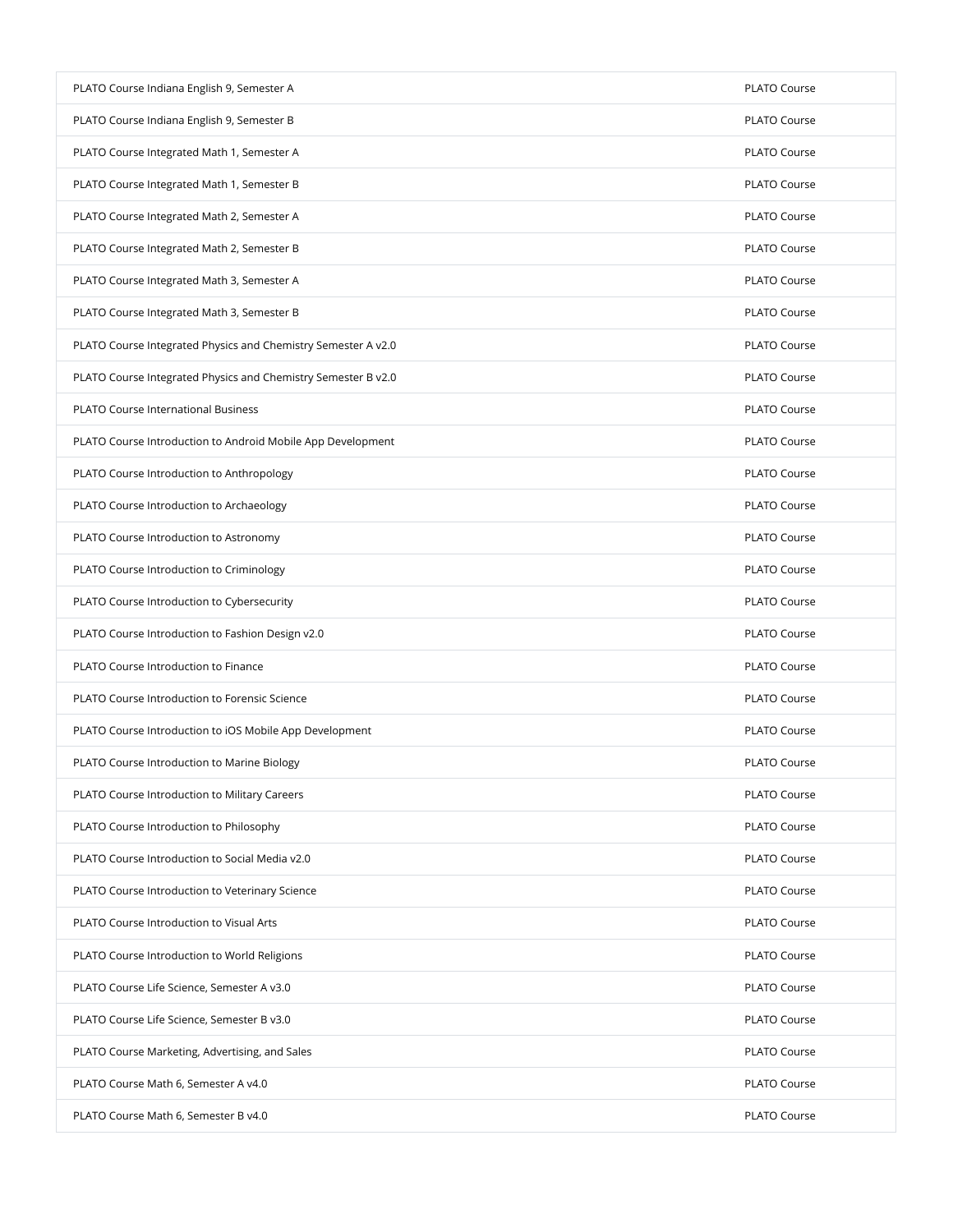| PLATO Course Indiana English 9, Semester A                    | PLATO Course        |
|---------------------------------------------------------------|---------------------|
| PLATO Course Indiana English 9, Semester B                    | PLATO Course        |
| PLATO Course Integrated Math 1, Semester A                    | PLATO Course        |
| PLATO Course Integrated Math 1, Semester B                    | PLATO Course        |
| PLATO Course Integrated Math 2, Semester A                    | PLATO Course        |
| PLATO Course Integrated Math 2, Semester B                    | PLATO Course        |
| PLATO Course Integrated Math 3, Semester A                    | <b>PLATO Course</b> |
| PLATO Course Integrated Math 3, Semester B                    | PLATO Course        |
| PLATO Course Integrated Physics and Chemistry Semester Av2.0  | PLATO Course        |
| PLATO Course Integrated Physics and Chemistry Semester B v2.0 | PLATO Course        |
| PLATO Course International Business                           | PLATO Course        |
| PLATO Course Introduction to Android Mobile App Development   | PLATO Course        |
| PLATO Course Introduction to Anthropology                     | PLATO Course        |
| PLATO Course Introduction to Archaeology                      | <b>PLATO Course</b> |
| PLATO Course Introduction to Astronomy                        | PLATO Course        |
| PLATO Course Introduction to Criminology                      | PLATO Course        |
| PLATO Course Introduction to Cybersecurity                    | PLATO Course        |
| PLATO Course Introduction to Fashion Design v2.0              | PLATO Course        |
| PLATO Course Introduction to Finance                          | PLATO Course        |
| PLATO Course Introduction to Forensic Science                 | PLATO Course        |
| PLATO Course Introduction to iOS Mobile App Development       | PLATO Course        |
| PLATO Course Introduction to Marine Biology                   | <b>PLATO Course</b> |
| PLATO Course Introduction to Military Careers                 | PLATO Course        |
| PLATO Course Introduction to Philosophy                       | PLATO Course        |
| PLATO Course Introduction to Social Media v2.0                | PLATO Course        |
| PLATO Course Introduction to Veterinary Science               | PLATO Course        |
| PLATO Course Introduction to Visual Arts                      | PLATO Course        |
| PLATO Course Introduction to World Religions                  | <b>PLATO Course</b> |
| PLATO Course Life Science, Semester A v3.0                    | PLATO Course        |
| PLATO Course Life Science, Semester B v3.0                    | PLATO Course        |
| PLATO Course Marketing, Advertising, and Sales                | PLATO Course        |
| PLATO Course Math 6, Semester A v4.0                          | PLATO Course        |
| PLATO Course Math 6, Semester B v4.0                          | PLATO Course        |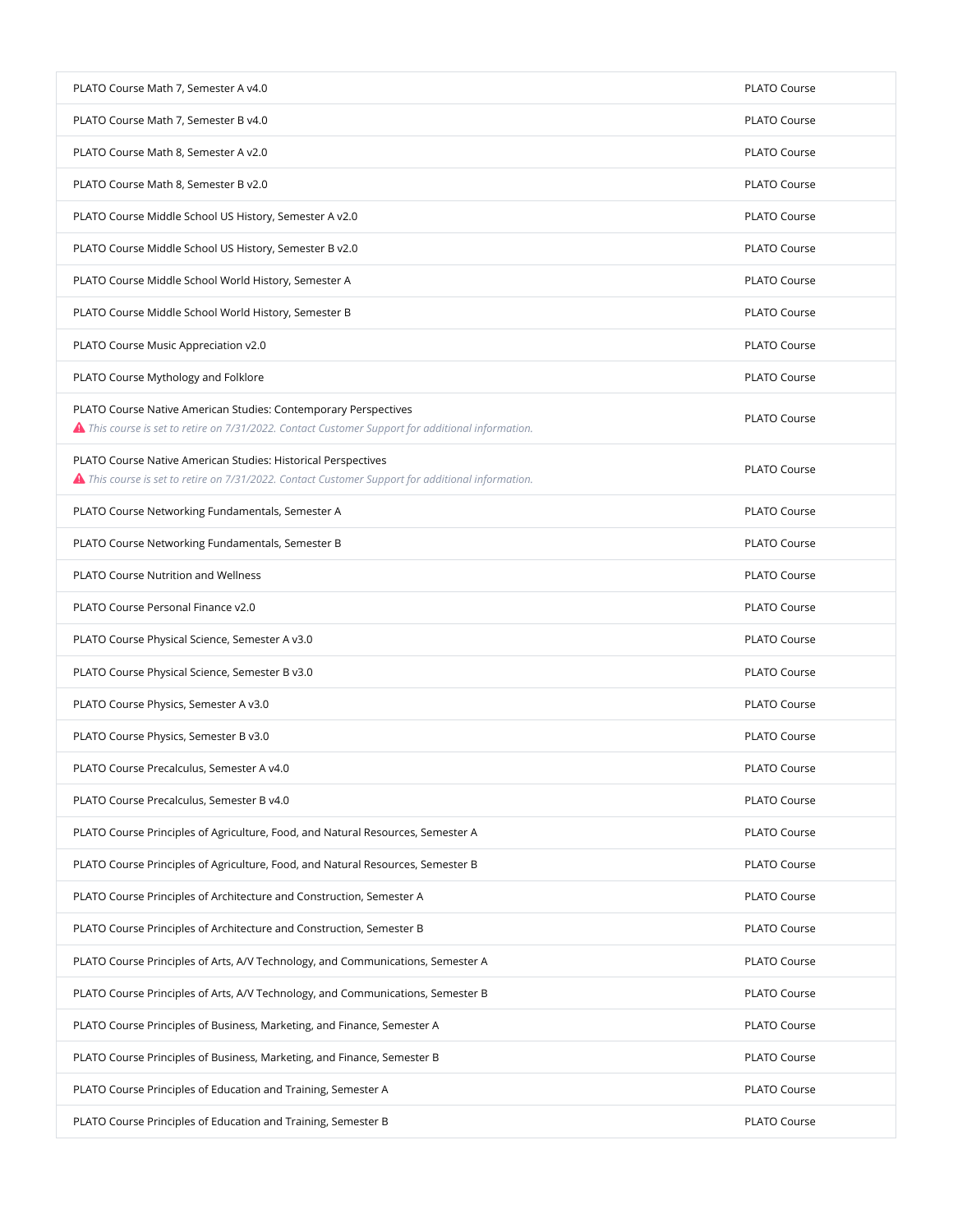| PLATO Course Math 7, Semester A v4.0                                                                                                                                 | PLATO Course        |
|----------------------------------------------------------------------------------------------------------------------------------------------------------------------|---------------------|
| PLATO Course Math 7, Semester B v4.0                                                                                                                                 | PLATO Course        |
| PLATO Course Math 8, Semester A v2.0                                                                                                                                 | PLATO Course        |
| PLATO Course Math 8, Semester B v2.0                                                                                                                                 | PLATO Course        |
| PLATO Course Middle School US History, Semester A v2.0                                                                                                               | PLATO Course        |
| PLATO Course Middle School US History, Semester B v2.0                                                                                                               | PLATO Course        |
| PLATO Course Middle School World History, Semester A                                                                                                                 | PLATO Course        |
| PLATO Course Middle School World History, Semester B                                                                                                                 | PLATO Course        |
| PLATO Course Music Appreciation v2.0                                                                                                                                 | PLATO Course        |
| PLATO Course Mythology and Folklore                                                                                                                                  | PLATO Course        |
| PLATO Course Native American Studies: Contemporary Perspectives<br>▲ This course is set to retire on 7/31/2022. Contact Customer Support for additional information. | <b>PLATO Course</b> |
| PLATO Course Native American Studies: Historical Perspectives<br>▲ This course is set to retire on 7/31/2022. Contact Customer Support for additional information.   | PLATO Course        |
| PLATO Course Networking Fundamentals, Semester A                                                                                                                     | PLATO Course        |
| PLATO Course Networking Fundamentals, Semester B                                                                                                                     | PLATO Course        |
| <b>PLATO Course Nutrition and Wellness</b>                                                                                                                           | <b>PLATO Course</b> |
| PLATO Course Personal Finance v2.0                                                                                                                                   | PLATO Course        |
| PLATO Course Physical Science, Semester A v3.0                                                                                                                       | <b>PLATO Course</b> |
| PLATO Course Physical Science, Semester B v3.0                                                                                                                       | PLATO Course        |
| PLATO Course Physics, Semester A v3.0                                                                                                                                | <b>PLATO Course</b> |
| PLATO Course Physics, Semester B v3.0                                                                                                                                | <b>PLATO Course</b> |
| PLATO Course Precalculus, Semester A v4.0                                                                                                                            | PLATO Course        |
| PLATO Course Precalculus, Semester B v4.0                                                                                                                            | <b>PLATO Course</b> |
| PLATO Course Principles of Agriculture, Food, and Natural Resources, Semester A                                                                                      | PLATO Course        |
| PLATO Course Principles of Agriculture, Food, and Natural Resources, Semester B                                                                                      | PLATO Course        |
| PLATO Course Principles of Architecture and Construction, Semester A                                                                                                 | PLATO Course        |
| PLATO Course Principles of Architecture and Construction, Semester B                                                                                                 | PLATO Course        |
| PLATO Course Principles of Arts, A/V Technology, and Communications, Semester A                                                                                      | PLATO Course        |
| PLATO Course Principles of Arts, A/V Technology, and Communications, Semester B                                                                                      | PLATO Course        |
| PLATO Course Principles of Business, Marketing, and Finance, Semester A                                                                                              | PLATO Course        |
| PLATO Course Principles of Business, Marketing, and Finance, Semester B                                                                                              | PLATO Course        |
| PLATO Course Principles of Education and Training, Semester A                                                                                                        | PLATO Course        |
| PLATO Course Principles of Education and Training, Semester B                                                                                                        | PLATO Course        |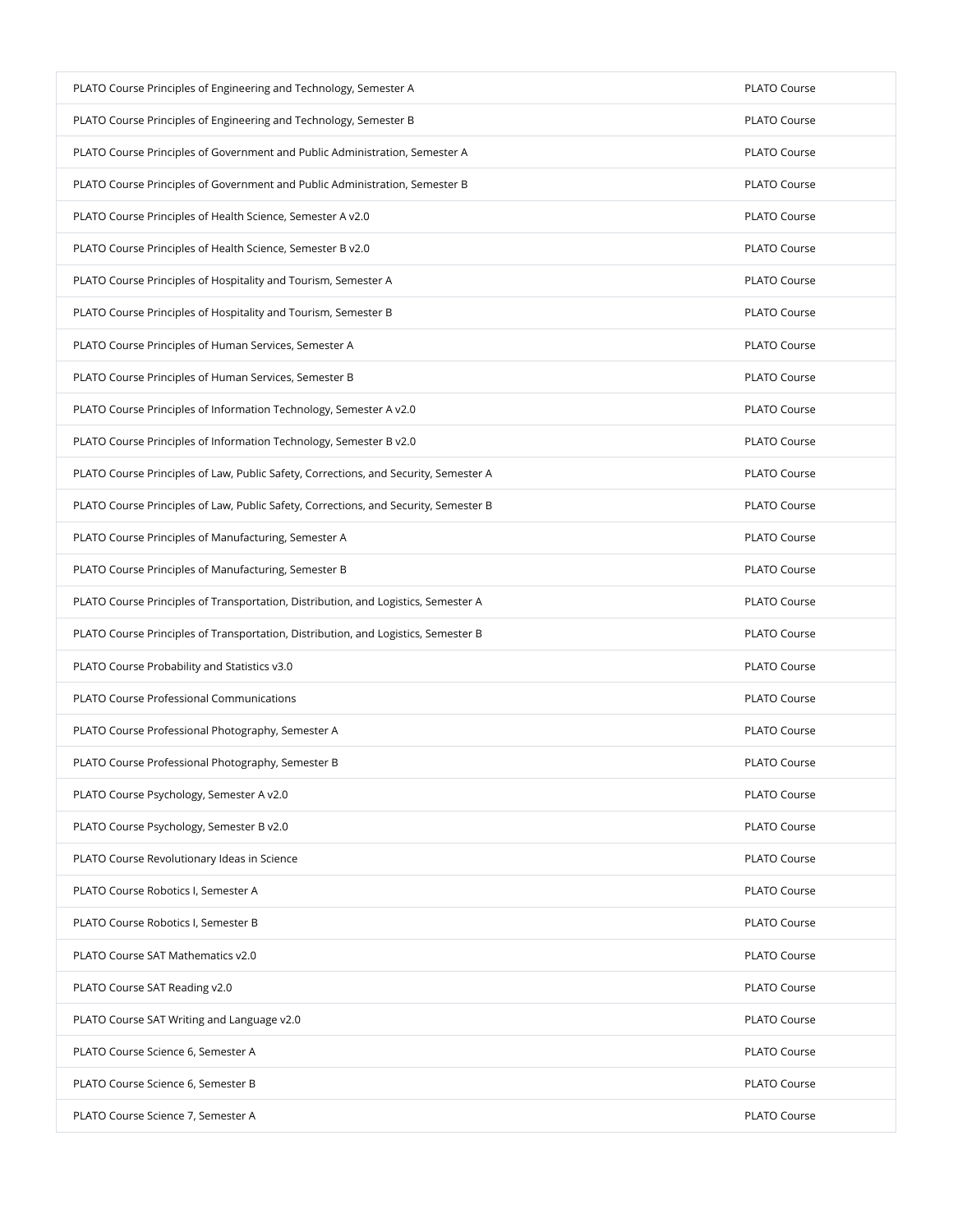| PLATO Course Principles of Engineering and Technology, Semester A                    | PLATO Course |
|--------------------------------------------------------------------------------------|--------------|
| PLATO Course Principles of Engineering and Technology, Semester B                    | PLATO Course |
| PLATO Course Principles of Government and Public Administration, Semester A          | PLATO Course |
| PLATO Course Principles of Government and Public Administration, Semester B          | PLATO Course |
| PLATO Course Principles of Health Science, Semester A v2.0                           | PLATO Course |
| PLATO Course Principles of Health Science, Semester B v2.0                           | PLATO Course |
| PLATO Course Principles of Hospitality and Tourism, Semester A                       | PLATO Course |
| PLATO Course Principles of Hospitality and Tourism, Semester B                       | PLATO Course |
| PLATO Course Principles of Human Services, Semester A                                | PLATO Course |
| PLATO Course Principles of Human Services, Semester B                                | PLATO Course |
| PLATO Course Principles of Information Technology, Semester Av2.0                    | PLATO Course |
| PLATO Course Principles of Information Technology, Semester B v2.0                   | PLATO Course |
| PLATO Course Principles of Law, Public Safety, Corrections, and Security, Semester A | PLATO Course |
| PLATO Course Principles of Law, Public Safety, Corrections, and Security, Semester B | PLATO Course |
| PLATO Course Principles of Manufacturing, Semester A                                 | PLATO Course |
| PLATO Course Principles of Manufacturing, Semester B                                 | PLATO Course |
| PLATO Course Principles of Transportation, Distribution, and Logistics, Semester A   | PLATO Course |
| PLATO Course Principles of Transportation, Distribution, and Logistics, Semester B   | PLATO Course |
| PLATO Course Probability and Statistics v3.0                                         | PLATO Course |
| PLATO Course Professional Communications                                             | PLATO Course |
| PLATO Course Professional Photography, Semester A                                    | PLATO Course |
| PLATO Course Professional Photography, Semester B                                    | PLATO Course |
| PLATO Course Psychology, Semester A v2.0                                             | PLATO Course |
| PLATO Course Psychology, Semester B v2.0                                             | PLATO Course |
| PLATO Course Revolutionary Ideas in Science                                          | PLATO Course |
| PLATO Course Robotics I, Semester A                                                  | PLATO Course |
| PLATO Course Robotics I, Semester B                                                  | PLATO Course |
| PLATO Course SAT Mathematics v2.0                                                    | PLATO Course |
| PLATO Course SAT Reading v2.0                                                        | PLATO Course |
| PLATO Course SAT Writing and Language v2.0                                           | PLATO Course |
| PLATO Course Science 6, Semester A                                                   | PLATO Course |
| PLATO Course Science 6, Semester B                                                   | PLATO Course |
| PLATO Course Science 7, Semester A                                                   | PLATO Course |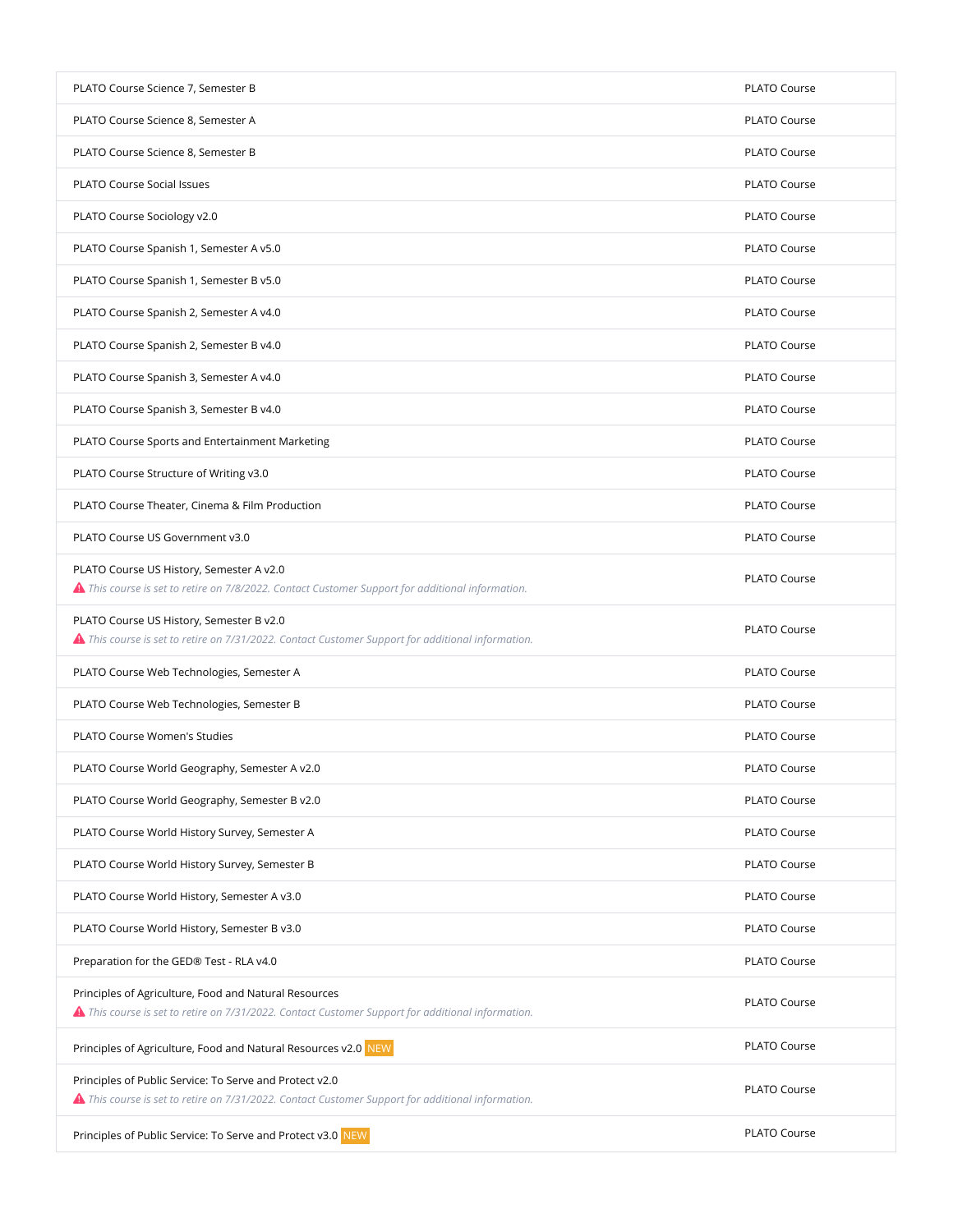| PLATO Course Science 7, Semester B                                                                                                                           | PLATO Course |
|--------------------------------------------------------------------------------------------------------------------------------------------------------------|--------------|
| PLATO Course Science 8, Semester A                                                                                                                           | PLATO Course |
| PLATO Course Science 8, Semester B                                                                                                                           | PLATO Course |
| <b>PLATO Course Social Issues</b>                                                                                                                            | PLATO Course |
| PLATO Course Sociology v2.0                                                                                                                                  | PLATO Course |
| PLATO Course Spanish 1, Semester A v5.0                                                                                                                      | PLATO Course |
| PLATO Course Spanish 1, Semester B v5.0                                                                                                                      | PLATO Course |
| PLATO Course Spanish 2, Semester A v4.0                                                                                                                      | PLATO Course |
| PLATO Course Spanish 2, Semester B v4.0                                                                                                                      | PLATO Course |
| PLATO Course Spanish 3, Semester A v4.0                                                                                                                      | PLATO Course |
| PLATO Course Spanish 3, Semester B v4.0                                                                                                                      | PLATO Course |
| PLATO Course Sports and Entertainment Marketing                                                                                                              | PLATO Course |
| PLATO Course Structure of Writing v3.0                                                                                                                       | PLATO Course |
| PLATO Course Theater, Cinema & Film Production                                                                                                               | PLATO Course |
| PLATO Course US Government v3.0                                                                                                                              | PLATO Course |
| PLATO Course US History, Semester A v2.0<br>▲ This course is set to retire on 7/8/2022. Contact Customer Support for additional information.                 | PLATO Course |
| PLATO Course US History, Semester B v2.0<br>▲ This course is set to retire on 7/31/2022. Contact Customer Support for additional information.                | PLATO Course |
|                                                                                                                                                              |              |
| PLATO Course Web Technologies, Semester A                                                                                                                    | PLATO Course |
| PLATO Course Web Technologies, Semester B                                                                                                                    | PLATO Course |
| PLATO Course Women's Studies                                                                                                                                 | PLATO Course |
| PLATO Course World Geography, Semester A v2.0                                                                                                                | PLATO Course |
| PLATO Course World Geography, Semester B v2.0                                                                                                                | PLATO Course |
| PLATO Course World History Survey, Semester A                                                                                                                | PLATO Course |
| PLATO Course World History Survey, Semester B                                                                                                                | PLATO Course |
| PLATO Course World History, Semester A v3.0                                                                                                                  | PLATO Course |
| PLATO Course World History, Semester B v3.0                                                                                                                  | PLATO Course |
| Preparation for the GED® Test - RLA v4.0                                                                                                                     | PLATO Course |
| Principles of Agriculture, Food and Natural Resources<br>▲ This course is set to retire on 7/31/2022. Contact Customer Support for additional information.   | PLATO Course |
| Principles of Agriculture, Food and Natural Resources v2.0 NEW                                                                                               | PLATO Course |
| Principles of Public Service: To Serve and Protect v2.0<br>▲ This course is set to retire on 7/31/2022. Contact Customer Support for additional information. | PLATO Course |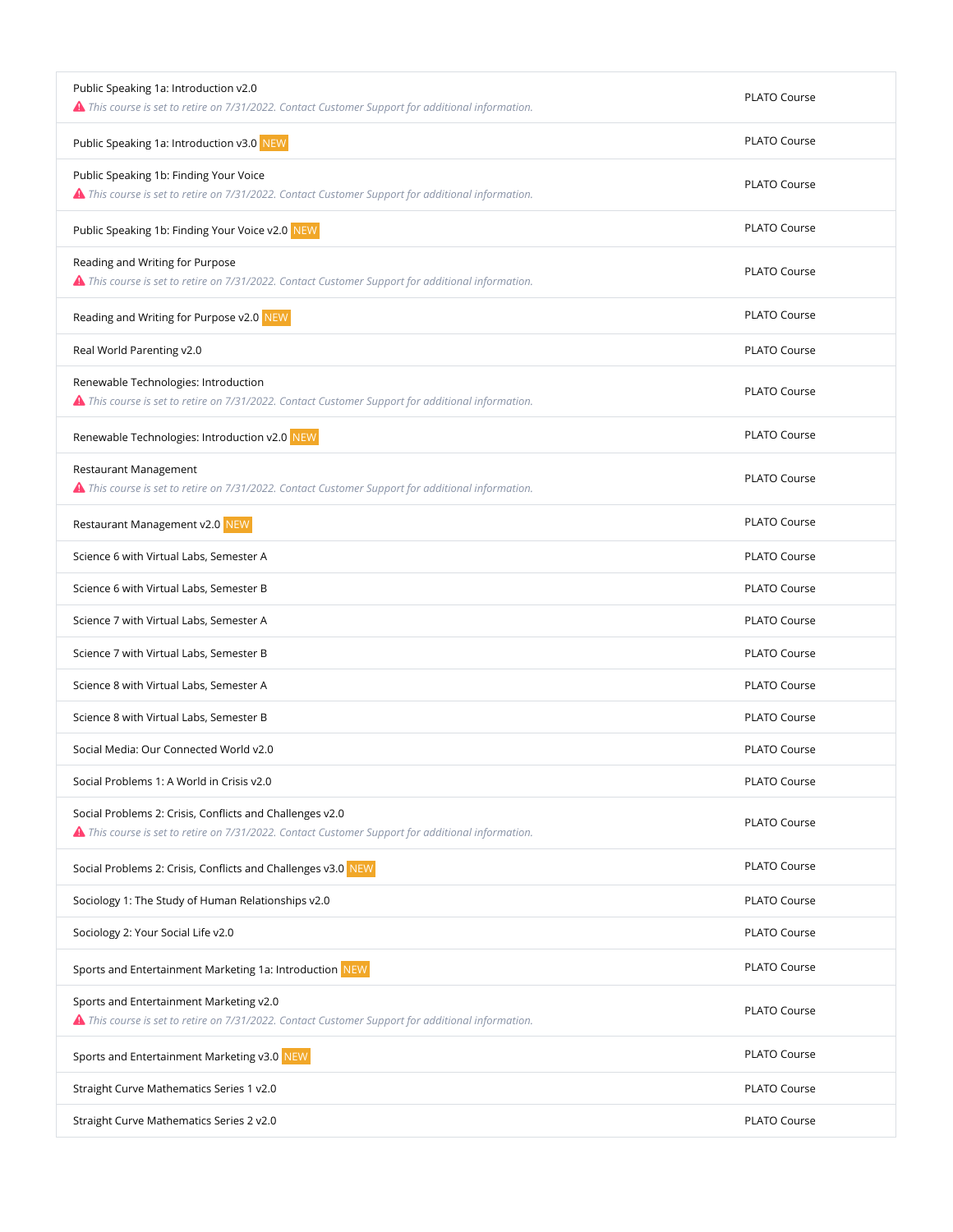| Public Speaking 1a: Introduction v2.0<br>▲ This course is set to retire on 7/31/2022. Contact Customer Support for additional information.                    | PLATO Course        |
|---------------------------------------------------------------------------------------------------------------------------------------------------------------|---------------------|
| Public Speaking 1a: Introduction v3.0 NEW                                                                                                                     | PLATO Course        |
| Public Speaking 1b: Finding Your Voice<br>A This course is set to retire on 7/31/2022. Contact Customer Support for additional information.                   | <b>PLATO Course</b> |
| Public Speaking 1b: Finding Your Voice v2.0 NEW                                                                                                               | <b>PLATO Course</b> |
| Reading and Writing for Purpose<br>A This course is set to retire on 7/31/2022. Contact Customer Support for additional information.                          | PLATO Course        |
| Reading and Writing for Purpose v2.0 NEW                                                                                                                      | <b>PLATO Course</b> |
| Real World Parenting v2.0                                                                                                                                     | <b>PLATO Course</b> |
| Renewable Technologies: Introduction<br>▲ This course is set to retire on 7/31/2022. Contact Customer Support for additional information.                     | PLATO Course        |
| Renewable Technologies: Introduction v2.0 NEW                                                                                                                 | PLATO Course        |
| Restaurant Management<br>▲ This course is set to retire on 7/31/2022. Contact Customer Support for additional information.                                    | PLATO Course        |
| Restaurant Management v2.0 NEW                                                                                                                                | PLATO Course        |
| Science 6 with Virtual Labs, Semester A                                                                                                                       | PLATO Course        |
| Science 6 with Virtual Labs, Semester B                                                                                                                       | <b>PLATO Course</b> |
|                                                                                                                                                               |                     |
| Science 7 with Virtual Labs, Semester A                                                                                                                       | PLATO Course        |
| Science 7 with Virtual Labs, Semester B                                                                                                                       | PLATO Course        |
| Science 8 with Virtual Labs, Semester A                                                                                                                       | PLATO Course        |
| Science 8 with Virtual Labs, Semester B                                                                                                                       | PLATO Course        |
| Social Media: Our Connected World v2.0                                                                                                                        | PLATO Course        |
| Social Problems 1: A World in Crisis v2.0                                                                                                                     | PLATO Course        |
| Social Problems 2: Crisis, Conflicts and Challenges v2.0<br>A This course is set to retire on 7/31/2022. Contact Customer Support for additional information. | PLATO Course        |
| Social Problems 2: Crisis, Conflicts and Challenges v3.0 NEW                                                                                                  | PLATO Course        |
| Sociology 1: The Study of Human Relationships v2.0                                                                                                            | PLATO Course        |
| Sociology 2: Your Social Life v2.0                                                                                                                            | PLATO Course        |
| Sports and Entertainment Marketing 1a: Introduction NEW                                                                                                       | PLATO Course        |
| Sports and Entertainment Marketing v2.0<br>A This course is set to retire on 7/31/2022. Contact Customer Support for additional information.                  | PLATO Course        |
| Sports and Entertainment Marketing v3.0 NEW                                                                                                                   | PLATO Course        |
| Straight Curve Mathematics Series 1 v2.0                                                                                                                      | PLATO Course        |